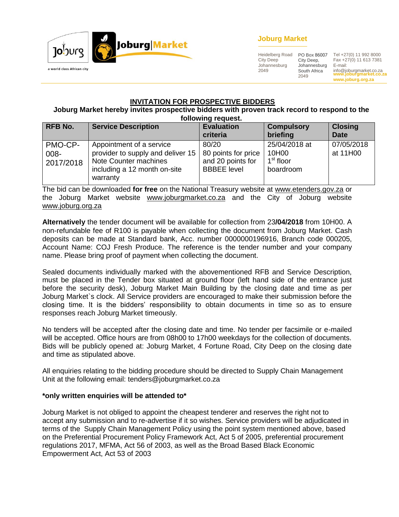

## **Joburg Market**

Heidelberg Road City Deep Johannesburg 2049 2049

PO Box 86007 City Deep, Johannesburg South Africa

**www.joburgmarket.co.za www.joburg.org.za** Tel +27(0) 11 992 8000 Fax +27(0) 11 613 7381 E-mail: info@joburgmarket.co.za

## **INVITATION FOR PROSPECTIVE BIDDERS**

#### **Joburg Market hereby invites prospective bidders with proven track record to respond to the following request.**

| <b>RFB No.</b>                  | <b>Service Description</b>                                                                                                         | <b>Evaluation</b><br>criteria                                           | <b>Compulsory</b><br>briefing                                | <b>Closing</b><br><b>Date</b> |  |
|---------------------------------|------------------------------------------------------------------------------------------------------------------------------------|-------------------------------------------------------------------------|--------------------------------------------------------------|-------------------------------|--|
| PMO-CP-<br>$008 -$<br>2017/2018 | Appointment of a service<br>provider to supply and deliver 15<br>Note Counter machines<br>including a 12 month on-site<br>warranty | 80/20<br>80 points for price<br>and 20 points for<br><b>BBBEE</b> level | 25/04/2018 at<br>10H00<br>1 <sup>st</sup> floor<br>boardroom | 07/05/2018<br>at 11H00        |  |

The bid can be downloaded **for free** on the National Treasury website at [www.etenders.gov.za](http://www.etenders.gov.za/) or the Joburg Market website [www.joburgmarket.co.za](http://www.joburgmarket.co.za/) and the City of Joburg website [www.joburg.org.za](http://www.joburg.org.za/)

**Alternatively** the tender document will be available for collection from 23**/04/2018** from 10H00. A non-refundable fee of R100 is payable when collecting the document from Joburg Market. Cash deposits can be made at Standard bank, Acc. number 0000000196916, Branch code 000205, Account Name: COJ Fresh Produce. The reference is the tender number and your company name. Please bring proof of payment when collecting the document.

Sealed documents individually marked with the abovementioned RFB and Service Description, must be placed in the Tender box situated at ground floor (left hand side of the entrance just before the security desk), Joburg Market Main Building by the closing date and time as per Joburg Market`s clock. All Service providers are encouraged to make their submission before the closing time. It is the bidders' responsibility to obtain documents in time so as to ensure responses reach Joburg Market timeously.

No tenders will be accepted after the closing date and time. No tender per facsimile or e-mailed will be accepted. Office hours are from 08h00 to 17h00 weekdays for the collection of documents. Bids will be publicly opened at: Joburg Market, 4 Fortune Road, City Deep on the closing date and time as stipulated above.

All enquiries relating to the bidding procedure should be directed to Supply Chain Management Unit at the following email: tenders@joburgmarket.co.za

## **\*only written enquiries will be attended to\***

Joburg Market is not obliged to appoint the cheapest tenderer and reserves the right not to accept any submission and to re-advertise if it so wishes. Service providers will be adjudicated in terms of the Supply Chain Management Policy using the point system mentioned above, based on the Preferential Procurement Policy Framework Act, Act 5 of 2005, preferential procurement regulations 2017, MFMA, Act 56 of 2003, as well as the Broad Based Black Economic Empowerment Act, Act 53 of 2003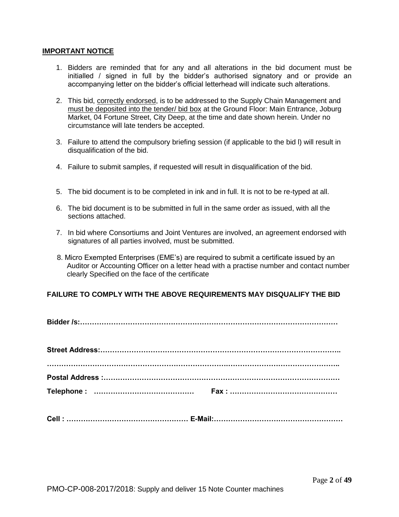#### **IMPORTANT NOTICE**

- 1. Bidders are reminded that for any and all alterations in the bid document must be initialled / signed in full by the bidder's authorised signatory and or provide an accompanying letter on the bidder's official letterhead will indicate such alterations.
- 2. This bid, correctly endorsed, is to be addressed to the Supply Chain Management and must be deposited into the tender/ bid box at the Ground Floor: Main Entrance, Joburg Market, 04 Fortune Street, City Deep, at the time and date shown herein. Under no circumstance will late tenders be accepted.
- 3. Failure to attend the compulsory briefing session (if applicable to the bid l) will result in disqualification of the bid.
- 4. Failure to submit samples, if requested will result in disqualification of the bid.
- 5. The bid document is to be completed in ink and in full. It is not to be re-typed at all.
- 6. The bid document is to be submitted in full in the same order as issued, with all the sections attached.
- 7. In bid where Consortiums and Joint Ventures are involved, an agreement endorsed with signatures of all parties involved, must be submitted.
- 8. Micro Exempted Enterprises (EME's) are required to submit a certificate issued by an Auditor or Accounting Officer on a letter head with a practise number and contact number clearly Specified on the face of the certificate

## **FAILURE TO COMPLY WITH THE ABOVE REQUIREMENTS MAY DISQUALIFY THE BID**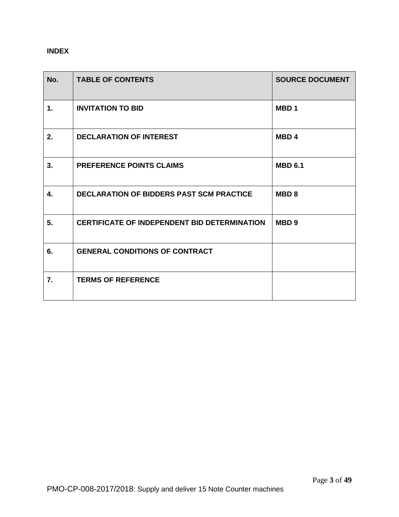## **INDEX**

| No. | <b>TABLE OF CONTENTS</b>                            | <b>SOURCE DOCUMENT</b> |
|-----|-----------------------------------------------------|------------------------|
| 1.  | <b>INVITATION TO BID</b>                            | MBD <sub>1</sub>       |
| 2.  | <b>DECLARATION OF INTEREST</b>                      | <b>MBD4</b>            |
| 3.  | <b>PREFERENCE POINTS CLAIMS</b>                     | <b>MBD 6.1</b>         |
| 4.  | <b>DECLARATION OF BIDDERS PAST SCM PRACTICE</b>     | MBD <sub>8</sub>       |
| 5.  | <b>CERTIFICATE OF INDEPENDENT BID DETERMINATION</b> | MBD <sub>9</sub>       |
| 6.  | <b>GENERAL CONDITIONS OF CONTRACT</b>               |                        |
| 7.  | <b>TERMS OF REFERENCE</b>                           |                        |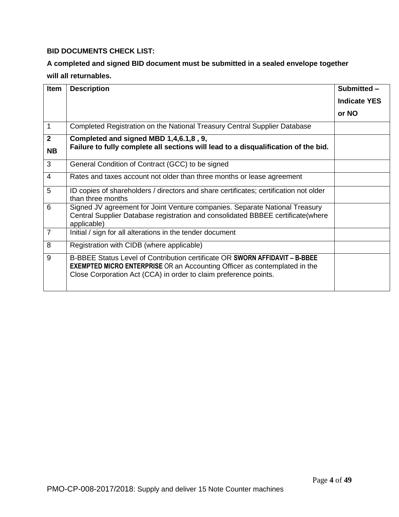## **BID DOCUMENTS CHECK LIST:**

## **A completed and signed BID document must be submitted in a sealed envelope together will all returnables.**

| <b>Item</b>    | <b>Description</b>                                                                                                                                                                                                                  | Submitted -         |
|----------------|-------------------------------------------------------------------------------------------------------------------------------------------------------------------------------------------------------------------------------------|---------------------|
|                |                                                                                                                                                                                                                                     | <b>Indicate YES</b> |
|                |                                                                                                                                                                                                                                     | or NO               |
| 1              | Completed Registration on the National Treasury Central Supplier Database                                                                                                                                                           |                     |
| $\overline{2}$ | Completed and signed MBD 1,4,6.1,8, 9,                                                                                                                                                                                              |                     |
| <b>NB</b>      | Failure to fully complete all sections will lead to a disqualification of the bid.                                                                                                                                                  |                     |
| 3              | General Condition of Contract (GCC) to be signed                                                                                                                                                                                    |                     |
| 4              | Rates and taxes account not older than three months or lease agreement                                                                                                                                                              |                     |
| 5              | ID copies of shareholders / directors and share certificates; certification not older<br>than three months                                                                                                                          |                     |
| 6              | Signed JV agreement for Joint Venture companies. Separate National Treasury<br>Central Supplier Database registration and consolidated BBBEE certificate(where<br>applicable)                                                       |                     |
| $\overline{7}$ | Initial / sign for all alterations in the tender document                                                                                                                                                                           |                     |
| 8              | Registration with CIDB (where applicable)                                                                                                                                                                                           |                     |
| 9              | B-BBEE Status Level of Contribution certificate OR SWORN AFFIDAVIT - B-BBEE<br><b>EXEMPTED MICRO ENTERPRISE</b> OR an Accounting Officer as contemplated in the<br>Close Corporation Act (CCA) in order to claim preference points. |                     |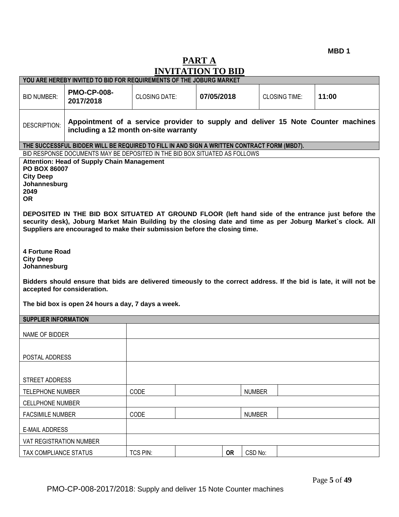**MBD 1**

# **PART A INVITATION TO BID**

|                                                                                                                                                                                                                                                                                                                                                                                                                                                                                                                                                                                                                                                                                                                                                                                          | YOU ARE HEREBY INVITED TO BID FOR REQUIREMENTS OF THE JOBURG MARKET                                                       |                      |            |               |                      |       |
|------------------------------------------------------------------------------------------------------------------------------------------------------------------------------------------------------------------------------------------------------------------------------------------------------------------------------------------------------------------------------------------------------------------------------------------------------------------------------------------------------------------------------------------------------------------------------------------------------------------------------------------------------------------------------------------------------------------------------------------------------------------------------------------|---------------------------------------------------------------------------------------------------------------------------|----------------------|------------|---------------|----------------------|-------|
| <b>BID NUMBER:</b>                                                                                                                                                                                                                                                                                                                                                                                                                                                                                                                                                                                                                                                                                                                                                                       | <b>PMO-CP-008-</b><br>2017/2018                                                                                           | <b>CLOSING DATE:</b> | 07/05/2018 |               | <b>CLOSING TIME:</b> | 11:00 |
| DESCRIPTION:                                                                                                                                                                                                                                                                                                                                                                                                                                                                                                                                                                                                                                                                                                                                                                             | Appointment of a service provider to supply and deliver 15 Note Counter machines<br>including a 12 month on-site warranty |                      |            |               |                      |       |
|                                                                                                                                                                                                                                                                                                                                                                                                                                                                                                                                                                                                                                                                                                                                                                                          | THE SUCCESSFUL BIDDER WILL BE REQUIRED TO FILL IN AND SIGN A WRITTEN CONTRACT FORM (MBD7).                                |                      |            |               |                      |       |
| BID RESPONSE DOCUMENTS MAY BE DEPOSITED IN THE BID BOX SITUATED AS FOLLOWS<br><b>Attention: Head of Supply Chain Management</b><br><b>PO BOX 86007</b><br><b>City Deep</b><br>Johannesburg<br>2049<br><b>OR</b><br>DEPOSITED IN THE BID BOX SITUATED AT GROUND FLOOR (left hand side of the entrance just before the<br>security desk), Joburg Market Main Building by the closing date and time as per Joburg Market's clock. All<br>Suppliers are encouraged to make their submission before the closing time.<br><b>4 Fortune Road</b><br><b>City Deep</b><br>Johannesburg<br>Bidders should ensure that bids are delivered timeously to the correct address. If the bid is late, it will not be<br>accepted for consideration.<br>The bid box is open 24 hours a day, 7 days a week. |                                                                                                                           |                      |            |               |                      |       |
| <b>SUPPLIER INFORMATION</b>                                                                                                                                                                                                                                                                                                                                                                                                                                                                                                                                                                                                                                                                                                                                                              |                                                                                                                           |                      |            |               |                      |       |
| NAME OF BIDDER                                                                                                                                                                                                                                                                                                                                                                                                                                                                                                                                                                                                                                                                                                                                                                           |                                                                                                                           |                      |            |               |                      |       |
|                                                                                                                                                                                                                                                                                                                                                                                                                                                                                                                                                                                                                                                                                                                                                                                          | POSTAL ADDRESS                                                                                                            |                      |            |               |                      |       |
| STREET ADDRESS                                                                                                                                                                                                                                                                                                                                                                                                                                                                                                                                                                                                                                                                                                                                                                           |                                                                                                                           |                      |            |               |                      |       |
| TELEPHONE NUMBER                                                                                                                                                                                                                                                                                                                                                                                                                                                                                                                                                                                                                                                                                                                                                                         |                                                                                                                           | CODE                 |            | <b>NUMBER</b> |                      |       |
| <b>CELLPHONE NUMBER</b>                                                                                                                                                                                                                                                                                                                                                                                                                                                                                                                                                                                                                                                                                                                                                                  |                                                                                                                           |                      |            |               |                      |       |
|                                                                                                                                                                                                                                                                                                                                                                                                                                                                                                                                                                                                                                                                                                                                                                                          | CODE<br><b>NUMBER</b><br><b>FACSIMILE NUMBER</b>                                                                          |                      |            |               |                      |       |
| <b>E-MAIL ADDRESS</b>                                                                                                                                                                                                                                                                                                                                                                                                                                                                                                                                                                                                                                                                                                                                                                    |                                                                                                                           |                      |            |               |                      |       |
| VAT REGISTRATION NUMBER                                                                                                                                                                                                                                                                                                                                                                                                                                                                                                                                                                                                                                                                                                                                                                  |                                                                                                                           |                      |            |               |                      |       |
| TAX COMPLIANCE STATUS                                                                                                                                                                                                                                                                                                                                                                                                                                                                                                                                                                                                                                                                                                                                                                    |                                                                                                                           | TCS PIN:             | <b>OR</b>  | CSD No:       |                      |       |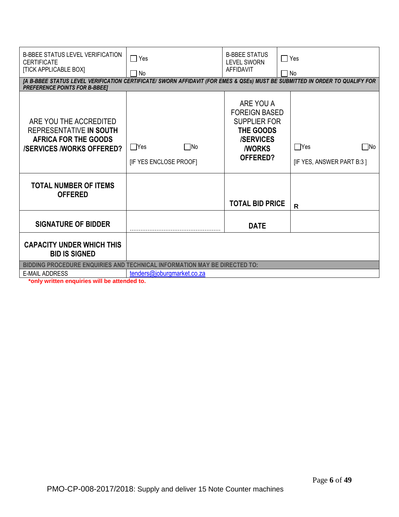| <b>B-BBEE STATUS LEVEL VERIFICATION</b><br><b>CERTIFICATE</b><br><b>[TICK APPLICABLE BOX]</b>                                                                        | $\Box$ Yes<br>∩ No                          | <b>B-BBEE STATUS</b><br><b>LEVEL SWORN</b><br>AFFIDAVIT                                                                       | □ Yes<br>No                                             |
|----------------------------------------------------------------------------------------------------------------------------------------------------------------------|---------------------------------------------|-------------------------------------------------------------------------------------------------------------------------------|---------------------------------------------------------|
| [A B-BBEE STATUS LEVEL VERIFICATION CERTIFICATE/ SWORN AFFIDAVIT (FOR EMES & QSEs) MUST BE SUBMITTED IN ORDER TO QUALIFY FOR<br><b>PREFERENCE POINTS FOR B-BBEET</b> |                                             |                                                                                                                               |                                                         |
| ARE YOU THE ACCREDITED<br>REPRESENTATIVE IN SOUTH<br>AFRICA FOR THE GOODS<br><b>/SERVICES/WORKS OFFERED?</b>                                                         | $\Box$ Yes<br>□No<br>[IF YES ENCLOSE PROOF] | ARE YOU A<br><b>FOREIGN BASED</b><br><b>SUPPLIER FOR</b><br>THE GOODS<br><b>/SERVICES</b><br><b><i>I</i>WORKS</b><br>OFFERED? | $\Box$ Yes<br>$\square$ No<br>[IF YES, ANSWER PART B:3] |
| <b>TOTAL NUMBER OF ITEMS</b><br><b>OFFERED</b>                                                                                                                       |                                             | <b>TOTAL BID PRICE</b>                                                                                                        | R                                                       |
| <b>SIGNATURE OF BIDDER</b>                                                                                                                                           |                                             | <b>DATE</b>                                                                                                                   |                                                         |
| <b>CAPACITY UNDER WHICH THIS</b><br><b>BID IS SIGNED</b>                                                                                                             |                                             |                                                                                                                               |                                                         |
| <b>BIDDING PROCEDURE ENQUIRIES AND TECHNICAL INFORMATION MAY BE DIRECTED TO:</b><br><b>E-MAIL ADDRESS</b>                                                            | tenders@joburgmarket.co.za                  |                                                                                                                               |                                                         |
|                                                                                                                                                                      |                                             |                                                                                                                               |                                                         |

**\*only written enquiries will be attended to.**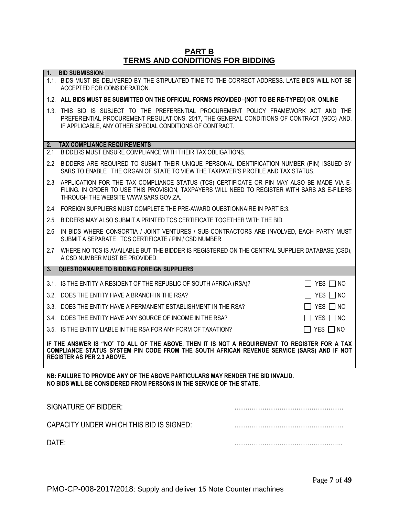## **PART B TERMS AND CONDITIONS FOR BIDDING**

|                                                                                                                                                                                                                                  | <b>I ERING AND CONDITIONS FOR BIDDING</b>                                                                                                                                                                                                      |                               |  |
|----------------------------------------------------------------------------------------------------------------------------------------------------------------------------------------------------------------------------------|------------------------------------------------------------------------------------------------------------------------------------------------------------------------------------------------------------------------------------------------|-------------------------------|--|
| $\mathbf{1}$ .                                                                                                                                                                                                                   | <b>BID SUBMISSION:</b>                                                                                                                                                                                                                         |                               |  |
|                                                                                                                                                                                                                                  | 1.1. BIDS MUST BE DELIVERED BY THE STIPULATED TIME TO THE CORRECT ADDRESS. LATE BIDS WILL NOT BE<br>ACCEPTED FOR CONSIDERATION.                                                                                                                |                               |  |
|                                                                                                                                                                                                                                  | 1.2. ALL BIDS MUST BE SUBMITTED ON THE OFFICIAL FORMS PROVIDED-(NOT TO BE RE-TYPED) OR ONLINE                                                                                                                                                  |                               |  |
|                                                                                                                                                                                                                                  | 1.3. THIS BID IS SUBJECT TO THE PREFERENTIAL PROCUREMENT POLICY FRAMEWORK ACT AND THE<br>PREFERENTIAL PROCUREMENT REGULATIONS, 2017, THE GENERAL CONDITIONS OF CONTRACT (GCC) AND,<br>IF APPLICABLE, ANY OTHER SPECIAL CONDITIONS OF CONTRACT. |                               |  |
| 2.                                                                                                                                                                                                                               | <b>TAX COMPLIANCE REQUIREMENTS</b>                                                                                                                                                                                                             |                               |  |
| 2.1                                                                                                                                                                                                                              | BIDDERS MUST ENSURE COMPLIANCE WITH THEIR TAX OBLIGATIONS.                                                                                                                                                                                     |                               |  |
| 2.2                                                                                                                                                                                                                              | BIDDERS ARE REQUIRED TO SUBMIT THEIR UNIQUE PERSONAL IDENTIFICATION NUMBER (PIN) ISSUED BY<br>SARS TO ENABLE THE ORGAN OF STATE TO VIEW THE TAXPAYER'S PROFILE AND TAX STATUS.                                                                 |                               |  |
|                                                                                                                                                                                                                                  | 2.3 APPLICATION FOR THE TAX COMPLIANCE STATUS (TCS) CERTIFICATE OR PIN MAY ALSO BE MADE VIA E-<br>FILING. IN ORDER TO USE THIS PROVISION, TAXPAYERS WILL NEED TO REGISTER WITH SARS AS E-FILERS<br>THROUGH THE WEBSITE WWW.SARS.GOV.ZA.        |                               |  |
| 2.4                                                                                                                                                                                                                              | FOREIGN SUPPLIERS MUST COMPLETE THE PRE-AWARD QUESTIONNAIRE IN PART B:3.                                                                                                                                                                       |                               |  |
| 2.5                                                                                                                                                                                                                              | BIDDERS MAY ALSO SUBMIT A PRINTED TCS CERTIFICATE TOGETHER WITH THE BID.                                                                                                                                                                       |                               |  |
| 2.6                                                                                                                                                                                                                              | IN BIDS WHERE CONSORTIA / JOINT VENTURES / SUB-CONTRACTORS ARE INVOLVED, EACH PARTY MUST<br>SUBMIT A SEPARATE TCS CERTIFICATE / PIN / CSD NUMBER.                                                                                              |                               |  |
|                                                                                                                                                                                                                                  | 2.7 WHERE NO TCS IS AVAILABLE BUT THE BIDDER IS REGISTERED ON THE CENTRAL SUPPLIER DATABASE (CSD),<br>A CSD NUMBER MUST BE PROVIDED.                                                                                                           |                               |  |
| 3.                                                                                                                                                                                                                               | <b>QUESTIONNAIRE TO BIDDING FOREIGN SUPPLIERS</b>                                                                                                                                                                                              |                               |  |
|                                                                                                                                                                                                                                  | 3.1. IS THE ENTITY A RESIDENT OF THE REPUBLIC OF SOUTH AFRICA (RSA)?                                                                                                                                                                           | $\Box$ YES $\Box$ NO          |  |
|                                                                                                                                                                                                                                  | 3.2. DOES THE ENTITY HAVE A BRANCH IN THE RSA?                                                                                                                                                                                                 | $\Box$ YES $\Box$ NO          |  |
|                                                                                                                                                                                                                                  | 3.3. DOES THE ENTITY HAVE A PERMANENT ESTABLISHMENT IN THE RSA?                                                                                                                                                                                | YES $\neg$ NO                 |  |
|                                                                                                                                                                                                                                  | 3.4. DOES THE ENTITY HAVE ANY SOURCE OF INCOME IN THE RSA?                                                                                                                                                                                     | YES $\Box$ NO                 |  |
|                                                                                                                                                                                                                                  | 3.5. IS THE ENTITY LIABLE IN THE RSA FOR ANY FORM OF TAXATION?                                                                                                                                                                                 | YES $\Box$ NO<br>$\mathsf{L}$ |  |
| IF THE ANSWER IS "NO" TO ALL OF THE ABOVE, THEN IT IS NOT A REQUIREMENT TO REGISTER FOR A TAX<br>COMPLIANCE STATUS SYSTEM PIN CODE FROM THE SOUTH AFRICAN REVENUE SERVICE (SARS) AND IF NOT<br><b>REGISTER AS PER 2.3 ABOVE.</b> |                                                                                                                                                                                                                                                |                               |  |
| NB: FAILURE TO PROVIDE ANY OF THE ABOVE PARTICULARS MAY RENDER THE BID INVALID.<br>NO BIDS WILL BE CONSIDERED FROM PERSONS IN THE SERVICE OF THE STATE.                                                                          |                                                                                                                                                                                                                                                |                               |  |
| <b>SIGNATURE OF BIDDER:</b>                                                                                                                                                                                                      |                                                                                                                                                                                                                                                |                               |  |
|                                                                                                                                                                                                                                  | CAPACITY UNDER WHICH THIS BID IS SIGNED:                                                                                                                                                                                                       |                               |  |
| DATE:                                                                                                                                                                                                                            |                                                                                                                                                                                                                                                |                               |  |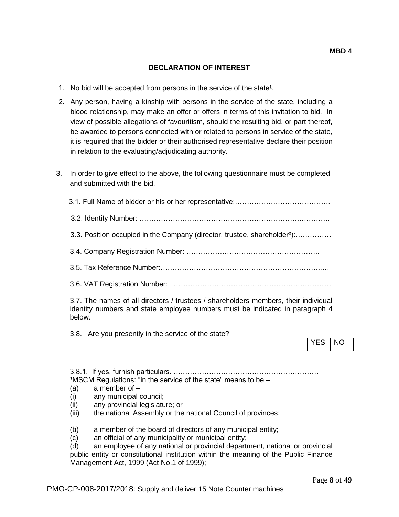## **DECLARATION OF INTEREST**

- 1. No bid will be accepted from persons in the service of the state<sup>1</sup>.
- 2. Any person, having a kinship with persons in the service of the state, including a blood relationship, may make an offer or offers in terms of this invitation to bid. In view of possible allegations of favouritism, should the resulting bid, or part thereof, be awarded to persons connected with or related to persons in service of the state, it is required that the bidder or their authorised representative declare their position in relation to the evaluating/adjudicating authority.
- 3. In order to give effect to the above, the following questionnaire must be completed and submitted with the bid.

| 3.3. Position occupied in the Company (director, trustee, shareholder <sup>2</sup> ):                                                                                         |            |    |
|-------------------------------------------------------------------------------------------------------------------------------------------------------------------------------|------------|----|
|                                                                                                                                                                               |            |    |
|                                                                                                                                                                               |            |    |
|                                                                                                                                                                               |            |    |
| 3.7. The names of all directors / trustees / shareholders members, their individual<br>identity numbers and state employee numbers must be indicated in paragraph 4<br>below. |            |    |
| 3.8. Are you presently in the service of the state?                                                                                                                           | <b>YES</b> | NO |
| <sup>1</sup> MSCM Regulations: "in the service of the state" means to be -                                                                                                    |            |    |
| a member of $-$<br>(a)                                                                                                                                                        |            |    |

- (a) a member or -<br>(i) any municipal council;
- (ii) any provincial legislature; or
- 
- (iii) the national Assembly or the national Council of provinces;
- (b) a member of the board of directors of any municipal entity;
- (c) an official of any municipality or municipal entity;

(d) an employee of any national or provincial department, national or provincial public entity or constitutional institution within the meaning of the Public Finance Management Act, 1999 (Act No.1 of 1999);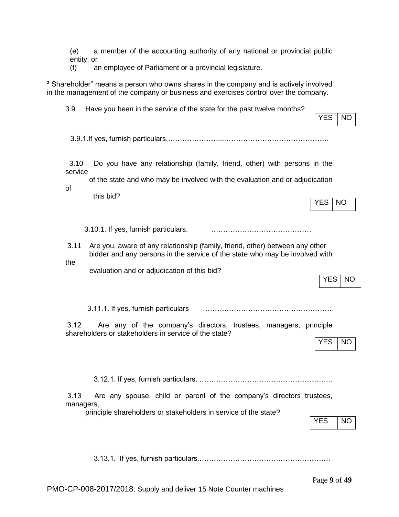(e) a member of the accounting authority of any national or provincial public entity; or

(f) an employee of Parliament or a provincial legislature.

² Shareholder" means a person who owns shares in the company and is actively involved in the management of the company or business and exercises control over the company.

| Have you been in the service of the state for the past twelve months?<br>3.9                                                                                                                                              | <b>YES</b><br><b>NO</b> |
|---------------------------------------------------------------------------------------------------------------------------------------------------------------------------------------------------------------------------|-------------------------|
|                                                                                                                                                                                                                           |                         |
| 3.10<br>Do you have any relationship (family, friend, other) with persons in the<br>service<br>of the state and who may be involved with the evaluation and or adjudication<br>of<br>this bid?                            | <b>YES</b><br><b>NO</b> |
| 3.10.1. If yes, furnish particulars.                                                                                                                                                                                      |                         |
| Are you, aware of any relationship (family, friend, other) between any other<br>3.11<br>bidder and any persons in the service of the state who may be involved with<br>the<br>evaluation and or adjudication of this bid? |                         |
|                                                                                                                                                                                                                           | <b>YES</b><br><b>NO</b> |
| 3.11.1. If yes, furnish particulars                                                                                                                                                                                       |                         |
| 3.12<br>Are any of the company's directors, trustees, managers, principle<br>shareholders or stakeholders in service of the state?                                                                                        | YES<br>NO               |
|                                                                                                                                                                                                                           |                         |
| Are any spouse, child or parent of the company's directors trustees,<br>3.13<br>managers,                                                                                                                                 |                         |
| principle shareholders or stakeholders in service of the state?                                                                                                                                                           | <b>YES</b><br><b>NO</b> |
|                                                                                                                                                                                                                           |                         |
|                                                                                                                                                                                                                           | Page 9 of 49            |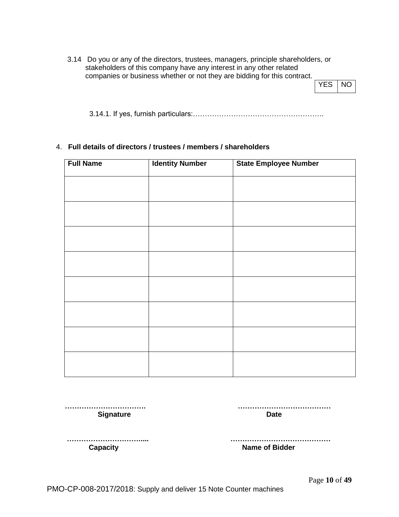3.14 Do you or any of the directors, trustees, managers, principle shareholders, or stakeholders of this company have any interest in any other related companies or business whether or not they are bidding for this contract.

| Y | NΟ |
|---|----|
|---|----|

3.14.1. If yes, furnish particulars:……………………………………………….

## 4. **Full details of directors / trustees / members / shareholders**

| <b>Full Name</b> | <b>Identity Number</b> | <b>State Employee Number</b> |
|------------------|------------------------|------------------------------|
|                  |                        |                              |
|                  |                        |                              |
|                  |                        |                              |
|                  |                        |                              |
|                  |                        |                              |
|                  |                        |                              |
|                  |                        |                              |
|                  |                        |                              |
|                  |                        |                              |

 **……………………………. ………………………………… Signature Date** 

 **…………………………..... ……………………………………**

**Capacity Capacity Name of Bidder** 

Page **10** of **49**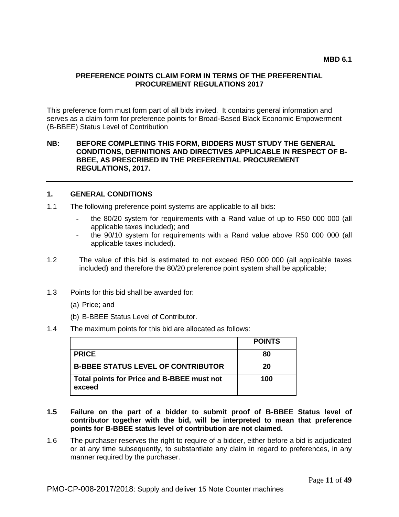#### **PREFERENCE POINTS CLAIM FORM IN TERMS OF THE PREFERENTIAL PROCUREMENT REGULATIONS 2017**

This preference form must form part of all bids invited. It contains general information and serves as a claim form for preference points for Broad-Based Black Economic Empowerment (B-BBEE) Status Level of Contribution

### **NB: BEFORE COMPLETING THIS FORM, BIDDERS MUST STUDY THE GENERAL CONDITIONS, DEFINITIONS AND DIRECTIVES APPLICABLE IN RESPECT OF B-BBEE, AS PRESCRIBED IN THE PREFERENTIAL PROCUREMENT REGULATIONS, 2017.**

## **1. GENERAL CONDITIONS**

- 1.1 The following preference point systems are applicable to all bids:
	- the 80/20 system for requirements with a Rand value of up to R50 000 000 (all applicable taxes included); and
	- the 90/10 system for requirements with a Rand value above R50 000 000 (all applicable taxes included).
- 1.2 The value of this bid is estimated to not exceed R50 000 000 (all applicable taxes included) and therefore the 80/20 preference point system shall be applicable;
- 1.3 Points for this bid shall be awarded for:
	- (a) Price; and
	- (b) B-BBEE Status Level of Contributor.
- 1.4 The maximum points for this bid are allocated as follows:

|                                                      | <b>POINTS</b> |
|------------------------------------------------------|---------------|
| <b>PRICE</b>                                         | 80            |
| <b>B-BBEE STATUS LEVEL OF CONTRIBUTOR</b>            | 20            |
| Total points for Price and B-BBEE must not<br>exceed | 100           |

- **1.5 Failure on the part of a bidder to submit proof of B-BBEE Status level of contributor together with the bid, will be interpreted to mean that preference points for B-BBEE status level of contribution are not claimed.**
- 1.6 The purchaser reserves the right to require of a bidder, either before a bid is adjudicated or at any time subsequently, to substantiate any claim in regard to preferences, in any manner required by the purchaser.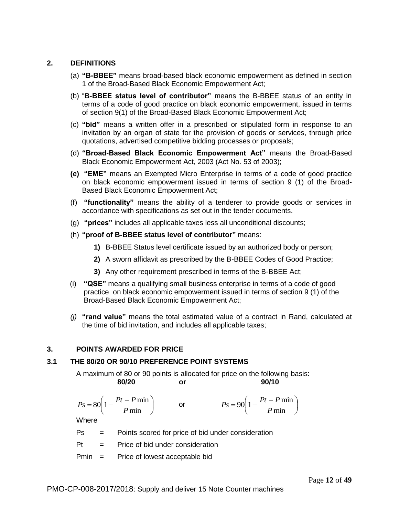## **2. DEFINITIONS**

- (a) **"B-BBEE"** means broad-based black economic empowerment as defined in section 1 of the Broad-Based Black Economic Empowerment Act;
- (b) "**B-BBEE status level of contributor"** means the B-BBEE status of an entity in terms of a code of good practice on black economic empowerment, issued in terms of section 9(1) of the Broad-Based Black Economic Empowerment Act;
- (c) **"bid"** means a written offer in a prescribed or stipulated form in response to an invitation by an organ of state for the provision of goods or services, through price quotations, advertised competitive bidding processes or proposals;
- (d) **"Broad-Based Black Economic Empowerment Act"** means the Broad-Based Black Economic Empowerment Act, 2003 (Act No. 53 of 2003);
- **(e) "EME"** means an Exempted Micro Enterprise in terms of a code of good practice on black economic empowerment issued in terms of section 9 (1) of the Broad-Based Black Economic Empowerment Act;
- (f) **"functionality"** means the ability of a tenderer to provide goods or services in accordance with specifications as set out in the tender documents.
- (g) **"prices"** includes all applicable taxes less all unconditional discounts;
- (h) **"proof of B-BBEE status level of contributor"** means:
	- **1)** B-BBEE Status level certificate issued by an authorized body or person;
	- **2)** A sworn affidavit as prescribed by the B-BBEE Codes of Good Practice;
	- **3)** Any other requirement prescribed in terms of the B-BBEE Act;
- (i) **"QSE"** means a qualifying small business enterprise in terms of a code of good practice on black economic empowerment issued in terms of section 9 (1) of the Broad-Based Black Economic Empowerment Act;
- *(j)* **"rand value"** means the total estimated value of a contract in Rand, calculated at the time of bid invitation, and includes all applicable taxes;

## **3. POINTS AWARDED FOR PRICE**

#### **3.1 THE 80/20 OR 90/10 PREFERENCE POINT SYSTEMS**

A maximum of 80 or 90 points is allocated for price on the following basis: **80/20 or 90/10**

$$
Ps = 80\left(1 - \frac{Pt - P \min P}{ \min P \min }\right) \qquad \text{or} \qquad \qquad Ps = 90\left(1 - \frac{Pt - P \min P}{ \min P \min P} \right)
$$

Where

- $Ps =$  Points scored for price of bid under consideration
- $Pt =$  Price of bid under consideration
- Pmin = Price of lowest acceptable bid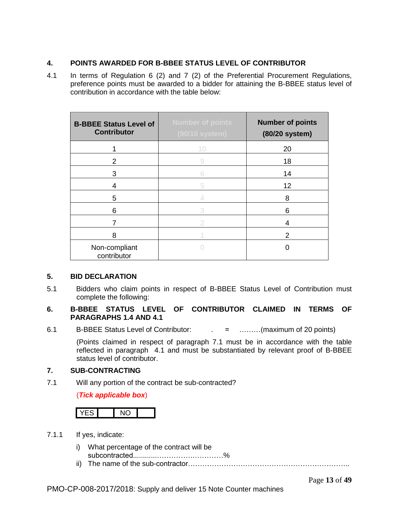## **4. POINTS AWARDED FOR B-BBEE STATUS LEVEL OF CONTRIBUTOR**

4.1 In terms of Regulation 6 (2) and 7 (2) of the Preferential Procurement Regulations, preference points must be awarded to a bidder for attaining the B-BBEE status level of contribution in accordance with the table below:

| <b>B-BBEE Status Level of</b><br><b>Contributor</b> | <b>Number of points</b><br>(90/10 system) | <b>Number of points</b><br>(80/20 system) |
|-----------------------------------------------------|-------------------------------------------|-------------------------------------------|
|                                                     | 10                                        | 20                                        |
| 2                                                   | 9                                         | 18                                        |
| 3                                                   | Б                                         | 14                                        |
| 4                                                   | 5                                         | 12                                        |
| 5                                                   |                                           | 8                                         |
| 6                                                   | 3                                         | 6                                         |
|                                                     |                                           | 4                                         |
| 8                                                   |                                           | 2                                         |
| Non-compliant<br>contributor                        |                                           |                                           |

## **5. BID DECLARATION**

5.1 Bidders who claim points in respect of B-BBEE Status Level of Contribution must complete the following:

## **6. B-BBEE STATUS LEVEL OF CONTRIBUTOR CLAIMED IN TERMS OF PARAGRAPHS 1.4 AND 4.1**

6.1 B-BBEE Status Level of Contributor:  $\qquad \qquad = \qquad \qquad \dots \dots \dots \dots$  (maximum of 20 points)

(Points claimed in respect of paragraph 7.1 must be in accordance with the table reflected in paragraph 4.1 and must be substantiated by relevant proof of B-BBEE status level of contributor.

## **7. SUB-CONTRACTING**

7.1 Will any portion of the contract be sub-contracted?

## (*Tick applicable box*)

- 7.1.1 If yes, indicate:
	- i) What percentage of the contract will be subcontracted............…………….…………%
	- ii) The name of the sub-contractor…………………………………………………………..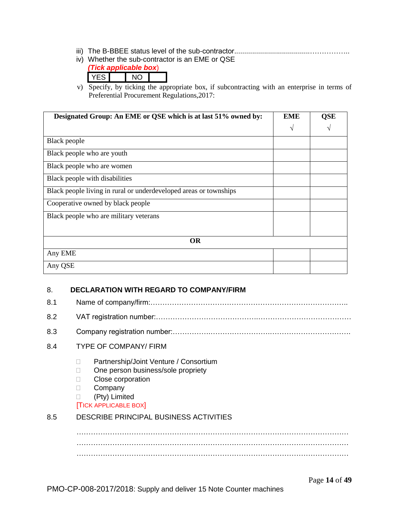- iii) The B-BBEE status level of the sub-contractor......................................……………..
- iv) Whether the sub-contractor is an EME or QSE *(Tick applicable box*)
	- YES NO
- v) Specify, by ticking the appropriate box, if subcontracting with an enterprise in terms of Preferential Procurement Regulations,2017:

| Designated Group: An EME or QSE which is at last 51% owned by:    | <b>EME</b> | <b>QSE</b> |
|-------------------------------------------------------------------|------------|------------|
|                                                                   | V          |            |
| Black people                                                      |            |            |
| Black people who are youth                                        |            |            |
| Black people who are women                                        |            |            |
| Black people with disabilities                                    |            |            |
| Black people living in rural or underdeveloped areas or townships |            |            |
| Cooperative owned by black people                                 |            |            |
| Black people who are military veterans                            |            |            |
|                                                                   |            |            |
| <b>OR</b>                                                         |            |            |
| Any EME                                                           |            |            |
| Any QSE                                                           |            |            |

## 8. **DECLARATION WITH REGARD TO COMPANY/FIRM**

8.1 Name of company/firm:……………………………………………………………………….. 8.2 VAT registration number:…………………………………….………………………………… 8.3 Company registration number:…………….…………………….……………………………. 8.4 TYPE OF COMPANY/ FIRM □ Partnership/Joint Venture / Consortium □ One person business/sole propriety **Close corporation** D Company (Pty) Limited [TICK APPLICABLE BOX] 8.5 DESCRIBE PRINCIPAL BUSINESS ACTIVITIES …………………………………………………………………………………………………… …………………………………………………………………………………………………… ……………………………………………………………………………………………………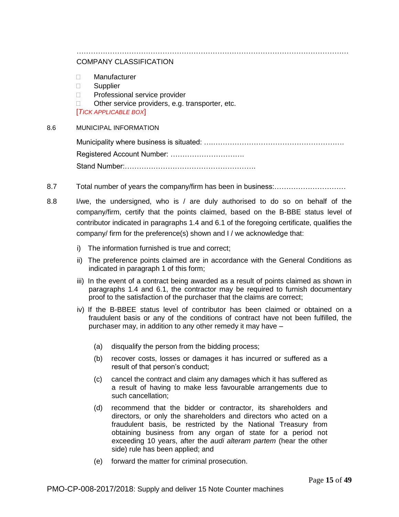# ……………………………………………………………………………………………………

## COMPANY CLASSIFICATION

- Manufacturer
- **Supplier**
- □ Professional service provider
- □ Other service providers, e.g. transporter, etc.

[*TICK APPLICABLE BOX*]

#### 8.6 MUNICIPAL INFORMATION

Municipality where business is situated: ….………………………………………………. Registered Account Number: …………………………. Stand Number:……………………………………………….

- 8.7 Total number of years the company/firm has been in business:…………………………
- 8.8 I/we, the undersigned, who is / are duly authorised to do so on behalf of the company/firm, certify that the points claimed, based on the B-BBE status level of contributor indicated in paragraphs 1.4 and 6.1 of the foregoing certificate, qualifies the company/ firm for the preference(s) shown and I / we acknowledge that:
	- i) The information furnished is true and correct;
	- ii) The preference points claimed are in accordance with the General Conditions as indicated in paragraph 1 of this form;
	- iii) In the event of a contract being awarded as a result of points claimed as shown in paragraphs 1.4 and 6.1, the contractor may be required to furnish documentary proof to the satisfaction of the purchaser that the claims are correct;
	- iv) If the B-BBEE status level of contributor has been claimed or obtained on a fraudulent basis or any of the conditions of contract have not been fulfilled, the purchaser may, in addition to any other remedy it may have –
		- (a) disqualify the person from the bidding process;
		- (b) recover costs, losses or damages it has incurred or suffered as a result of that person's conduct;
		- (c) cancel the contract and claim any damages which it has suffered as a result of having to make less favourable arrangements due to such cancellation;
		- (d) recommend that the bidder or contractor, its shareholders and directors, or only the shareholders and directors who acted on a fraudulent basis, be restricted by the National Treasury from obtaining business from any organ of state for a period not exceeding 10 years, after the *audi alteram partem* (hear the other side) rule has been applied; and
		- (e) forward the matter for criminal prosecution.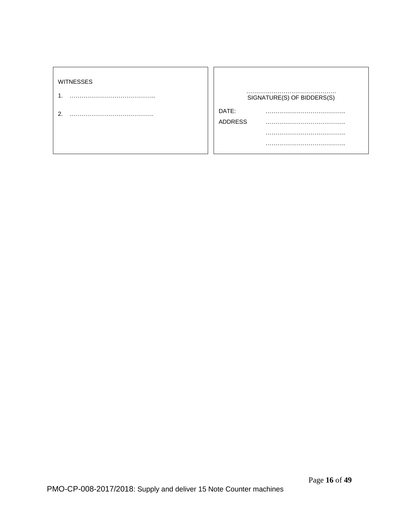#### WITNESSES

- 1. ……………………………………..
- 2. …………………………………….

| SIGNATURE(S) OF BIDDERS(S) |
|----------------------------|
|                            |
| .                          |
|                            |
|                            |
|                            |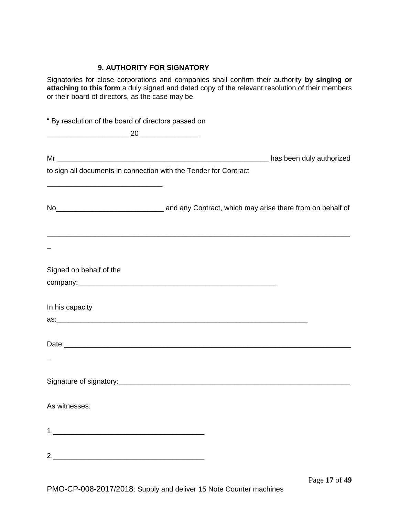## **9. AUTHORITY FOR SIGNATORY**

Signatories for close corporations and companies shall confirm their authority **by singing or attaching to this form** a duly signed and dated copy of the relevant resolution of their members or their board of directors, as the case may be.

| " By resolution of the board of directors passed on          |                                                                  |  |
|--------------------------------------------------------------|------------------------------------------------------------------|--|
| $\underbrace{\hspace{1.5cm}} 20 \underbrace{\hspace{1.5cm}}$ |                                                                  |  |
|                                                              |                                                                  |  |
|                                                              | to sign all documents in connection with the Tender for Contract |  |
|                                                              |                                                                  |  |
|                                                              |                                                                  |  |
|                                                              |                                                                  |  |
|                                                              |                                                                  |  |
| Signed on behalf of the                                      |                                                                  |  |
|                                                              |                                                                  |  |
|                                                              |                                                                  |  |
| In his capacity                                              |                                                                  |  |
|                                                              |                                                                  |  |
|                                                              |                                                                  |  |
|                                                              |                                                                  |  |
|                                                              |                                                                  |  |
|                                                              |                                                                  |  |
| As witnesses:                                                |                                                                  |  |
|                                                              |                                                                  |  |
|                                                              |                                                                  |  |
| 2.                                                           |                                                                  |  |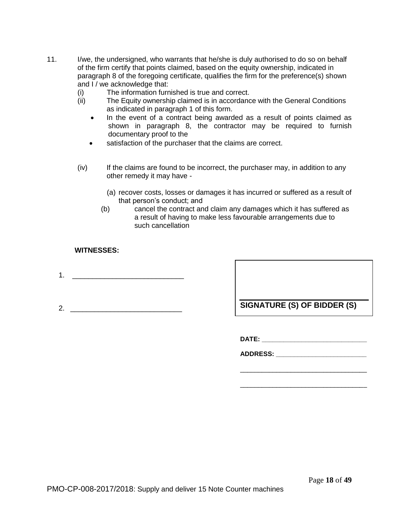- 11. I/we, the undersigned, who warrants that he/she is duly authorised to do so on behalf of the firm certify that points claimed, based on the equity ownership, indicated in paragraph 8 of the foregoing certificate, qualifies the firm for the preference(s) shown and I / we acknowledge that:
	- (i) The information furnished is true and correct.
	- (ii) The Equity ownership claimed is in accordance with the General Conditions as indicated in paragraph 1 of this form.
		- In the event of a contract being awarded as a result of points claimed as shown in paragraph 8, the contractor may be required to furnish documentary proof to the
		- satisfaction of the purchaser that the claims are correct.
	- (iv) If the claims are found to be incorrect, the purchaser may, in addition to any other remedy it may have -
		- (a) recover costs, losses or damages it has incurred or suffered as a result of that person's conduct; and
		- (b) cancel the contract and claim any damages which it has suffered as a result of having to make less favourable arrangements due to such cancellation

## **WITNESSES:**

- 1. \_\_\_\_\_\_\_\_\_\_\_\_\_\_\_\_\_\_\_\_\_\_\_\_\_\_\_\_
- 

2. \_\_\_\_\_\_\_\_\_\_\_\_\_\_\_\_\_\_\_\_\_\_\_\_\_\_\_\_ **SIGNATURE (S) OF BIDDER (S)**

**DATE: \_\_\_\_\_\_\_\_\_\_\_\_\_\_\_\_\_\_\_\_\_\_\_\_\_\_\_\_\_**

**ADDRESS: \_\_\_\_\_\_\_\_\_\_\_\_\_\_\_\_\_\_\_\_\_\_\_\_\_**

\_\_\_\_\_\_\_\_\_\_\_\_\_\_\_\_\_\_\_\_\_\_\_\_\_\_\_\_\_\_\_\_\_\_\_

\_\_\_\_\_\_\_\_\_\_\_\_\_\_\_\_\_\_\_\_\_\_\_\_\_\_\_\_\_\_\_\_\_\_\_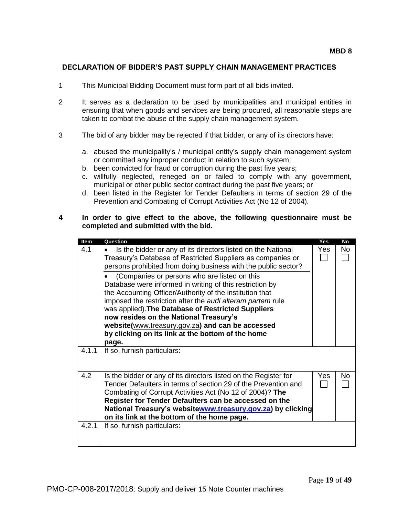## **DECLARATION OF BIDDER'S PAST SUPPLY CHAIN MANAGEMENT PRACTICES**

- 1 This Municipal Bidding Document must form part of all bids invited.
- 2 It serves as a declaration to be used by municipalities and municipal entities in ensuring that when goods and services are being procured, all reasonable steps are taken to combat the abuse of the supply chain management system.
- 3 The bid of any bidder may be rejected if that bidder, or any of its directors have:
	- a. abused the municipality's / municipal entity's supply chain management system or committed any improper conduct in relation to such system;
	- b. been convicted for fraud or corruption during the past five years;
	- c. willfully neglected, reneged on or failed to comply with any government, municipal or other public sector contract during the past five years; or
	- d. been listed in the Register for Tender Defaulters in terms of section 29 of the Prevention and Combating of Corrupt Activities Act (No 12 of 2004).

#### **4 In order to give effect to the above, the following questionnaire must be completed and submitted with the bid.**

| <b>Item</b> | Question                                                                                                                                                                                                                                                                                                                                                                                                                                             | Yes  | No  |
|-------------|------------------------------------------------------------------------------------------------------------------------------------------------------------------------------------------------------------------------------------------------------------------------------------------------------------------------------------------------------------------------------------------------------------------------------------------------------|------|-----|
| 4.1         | Is the bidder or any of its directors listed on the National<br>Treasury's Database of Restricted Suppliers as companies or<br>persons prohibited from doing business with the public sector?                                                                                                                                                                                                                                                        | Yes  | No. |
|             | (Companies or persons who are listed on this<br>Database were informed in writing of this restriction by<br>the Accounting Officer/Authority of the institution that<br>imposed the restriction after the audi alteram partem rule<br>was applied). The Database of Restricted Suppliers<br>now resides on the National Treasury's<br>website(www.treasury.gov.za) and can be accessed<br>by clicking on its link at the bottom of the home<br>page. |      |     |
| 4.1.1       | If so, furnish particulars:                                                                                                                                                                                                                                                                                                                                                                                                                          |      |     |
| 4.2         | Is the bidder or any of its directors listed on the Register for<br>Tender Defaulters in terms of section 29 of the Prevention and<br>Combating of Corrupt Activities Act (No 12 of 2004)? The<br>Register for Tender Defaulters can be accessed on the<br>National Treasury's websitewww.treasury.gov.za) by clicking<br>on its link at the bottom of the home page.                                                                                | Yes. | No  |
| 4.2.1       | If so, furnish particulars:                                                                                                                                                                                                                                                                                                                                                                                                                          |      |     |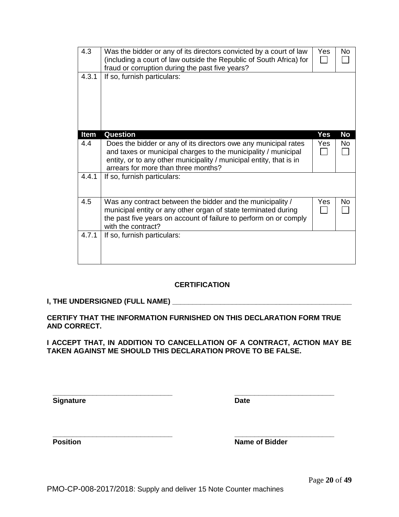| 4.3   | Was the bidder or any of its directors convicted by a court of law<br>(including a court of law outside the Republic of South Africa) for<br>fraud or corruption during the past five years?                                                    | Yes | No        |
|-------|-------------------------------------------------------------------------------------------------------------------------------------------------------------------------------------------------------------------------------------------------|-----|-----------|
| 4.3.1 | If so, furnish particulars:                                                                                                                                                                                                                     |     |           |
| Item  | <b>Question</b>                                                                                                                                                                                                                                 | Yes | <b>No</b> |
| 4.4   | Does the bidder or any of its directors owe any municipal rates<br>and taxes or municipal charges to the municipality / municipal<br>entity, or to any other municipality / municipal entity, that is in<br>arrears for more than three months? | Yes | <b>No</b> |
| 4.4.1 | If so, furnish particulars:                                                                                                                                                                                                                     |     |           |
| 4.5   | Was any contract between the bidder and the municipality /<br>municipal entity or any other organ of state terminated during<br>the past five years on account of failure to perform on or comply<br>with the contract?                         | Yes | <b>No</b> |
| 4.7.1 | If so, furnish particulars:                                                                                                                                                                                                                     |     |           |

## **CERTIFICATION**

## **I, THE UNDERSIGNED (FULL NAME) \_\_\_\_\_\_\_\_\_\_\_\_\_\_\_\_\_\_\_\_\_\_\_\_\_\_\_\_\_\_\_\_\_\_\_\_\_\_\_\_\_\_\_\_\_**

## **CERTIFY THAT THE INFORMATION FURNISHED ON THIS DECLARATION FORM TRUE AND CORRECT.**

**\_\_\_\_\_\_\_\_\_\_\_\_\_\_\_\_\_\_\_\_\_\_\_\_\_\_\_\_\_\_ \_\_\_\_\_\_\_\_\_\_\_\_\_\_\_\_\_\_\_\_\_\_\_\_\_**

## **I ACCEPT THAT, IN ADDITION TO CANCELLATION OF A CONTRACT, ACTION MAY BE TAKEN AGAINST ME SHOULD THIS DECLARATION PROVE TO BE FALSE.**

**Signature** Date

**\_\_\_\_\_\_\_\_\_\_\_\_\_\_\_\_\_\_\_\_\_\_\_\_\_\_\_\_\_\_ \_\_\_\_\_\_\_\_\_\_\_\_\_\_\_\_\_\_\_\_\_\_\_\_\_ Position Name of Bidder** 

Page **20** of **49**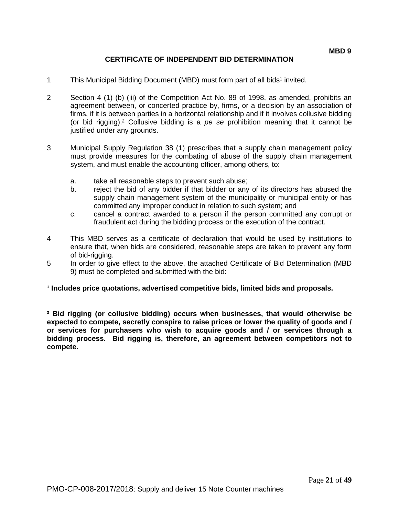## **CERTIFICATE OF INDEPENDENT BID DETERMINATION**

- 1 This Municipal Bidding Document (MBD) must form part of all bids<sup>1</sup> invited.
- 2 Section 4 (1) (b) (iii) of the Competition Act No. 89 of 1998, as amended, prohibits an agreement between, or concerted practice by, firms, or a decision by an association of firms, if it is between parties in a horizontal relationship and if it involves collusive bidding (or bid rigging).² Collusive bidding is a *pe se* prohibition meaning that it cannot be justified under any grounds.
- 3 Municipal Supply Regulation 38 (1) prescribes that a supply chain management policy must provide measures for the combating of abuse of the supply chain management system, and must enable the accounting officer, among others, to:
	- a. take all reasonable steps to prevent such abuse;
	- b. reject the bid of any bidder if that bidder or any of its directors has abused the supply chain management system of the municipality or municipal entity or has committed any improper conduct in relation to such system; and
	- c. cancel a contract awarded to a person if the person committed any corrupt or fraudulent act during the bidding process or the execution of the contract.
- 4 This MBD serves as a certificate of declaration that would be used by institutions to ensure that, when bids are considered, reasonable steps are taken to prevent any form of bid-rigging.
- 5 In order to give effect to the above, the attached Certificate of Bid Determination (MBD 9) must be completed and submitted with the bid:

#### **¹ Includes price quotations, advertised competitive bids, limited bids and proposals.**

**² Bid rigging (or collusive bidding) occurs when businesses, that would otherwise be expected to compete, secretly conspire to raise prices or lower the quality of goods and / or services for purchasers who wish to acquire goods and / or services through a bidding process. Bid rigging is, therefore, an agreement between competitors not to compete.**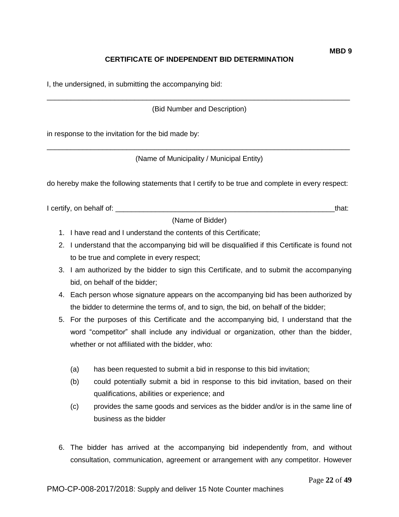## **CERTIFICATE OF INDEPENDENT BID DETERMINATION**

I, the undersigned, in submitting the accompanying bid:

\_\_\_\_\_\_\_\_\_\_\_\_\_\_\_\_\_\_\_\_\_\_\_\_\_\_\_\_\_\_\_\_\_\_\_\_\_\_\_\_\_\_\_\_\_\_\_\_\_\_\_\_\_\_\_\_\_\_\_\_\_\_\_\_\_\_\_\_\_\_\_\_\_\_\_\_ (Bid Number and Description)

in response to the invitation for the bid made by:

\_\_\_\_\_\_\_\_\_\_\_\_\_\_\_\_\_\_\_\_\_\_\_\_\_\_\_\_\_\_\_\_\_\_\_\_\_\_\_\_\_\_\_\_\_\_\_\_\_\_\_\_\_\_\_\_\_\_\_\_\_\_\_\_\_\_\_\_\_\_\_\_\_\_\_\_ (Name of Municipality / Municipal Entity)

do hereby make the following statements that I certify to be true and complete in every respect:

I certify, on behalf of: the state of the state of the state of the state of the state of the state of the state of the state of the state of the state of the state of the state of the state of the state of the state of th

(Name of Bidder)

- 1. I have read and I understand the contents of this Certificate;
- 2. I understand that the accompanying bid will be disqualified if this Certificate is found not to be true and complete in every respect;
- 3. I am authorized by the bidder to sign this Certificate, and to submit the accompanying bid, on behalf of the bidder;
- 4. Each person whose signature appears on the accompanying bid has been authorized by the bidder to determine the terms of, and to sign, the bid, on behalf of the bidder;
- 5. For the purposes of this Certificate and the accompanying bid, I understand that the word "competitor" shall include any individual or organization, other than the bidder, whether or not affiliated with the bidder, who:
	- (a) has been requested to submit a bid in response to this bid invitation;
	- (b) could potentially submit a bid in response to this bid invitation, based on their qualifications, abilities or experience; and
	- (c) provides the same goods and services as the bidder and/or is in the same line of business as the bidder
- 6. The bidder has arrived at the accompanying bid independently from, and without consultation, communication, agreement or arrangement with any competitor. However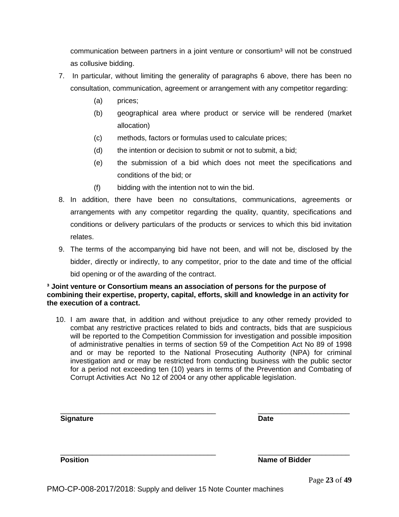communication between partners in a joint venture or consortium<sup>3</sup> will not be construed as collusive bidding.

- 7. In particular, without limiting the generality of paragraphs 6 above, there has been no consultation, communication, agreement or arrangement with any competitor regarding:
	- (a) prices;
	- (b) geographical area where product or service will be rendered (market allocation)
	- (c) methods, factors or formulas used to calculate prices;
	- (d) the intention or decision to submit or not to submit, a bid;
	- (e) the submission of a bid which does not meet the specifications and conditions of the bid; or
	- (f) bidding with the intention not to win the bid.
- 8. In addition, there have been no consultations, communications, agreements or arrangements with any competitor regarding the quality, quantity, specifications and conditions or delivery particulars of the products or services to which this bid invitation relates.
- 9. The terms of the accompanying bid have not been, and will not be, disclosed by the bidder, directly or indirectly, to any competitor, prior to the date and time of the official bid opening or of the awarding of the contract.

## **³ Joint venture or Consortium means an association of persons for the purpose of combining their expertise, property, capital, efforts, skill and knowledge in an activity for the execution of a contract.**

10. I am aware that, in addition and without prejudice to any other remedy provided to combat any restrictive practices related to bids and contracts, bids that are suspicious will be reported to the Competition Commission for investigation and possible imposition of administrative penalties in terms of section 59 of the Competition Act No 89 of 1998 and or may be reported to the National Prosecuting Authority (NPA) for criminal investigation and or may be restricted from conducting business with the public sector for a period not exceeding ten (10) years in terms of the Prevention and Combating of Corrupt Activities Act No 12 of 2004 or any other applicable legislation.

| <b>Signature</b> | <b>Date</b>           |
|------------------|-----------------------|
|                  |                       |
| <b>Position</b>  | <b>Name of Bidder</b> |

Page **23** of **49**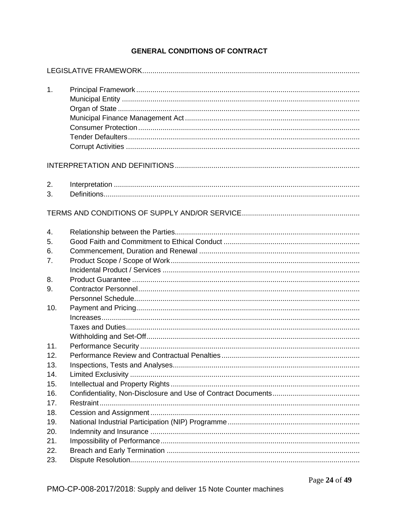## **GENERAL CONDITIONS OF CONTRACT**

| 1.         |  |
|------------|--|
|            |  |
| 2.<br>3.   |  |
|            |  |
| 4.<br>5.   |  |
| 6.<br>7.   |  |
| 8.<br>9.   |  |
|            |  |
| 10.        |  |
| 11.        |  |
| 12.        |  |
| 13.        |  |
| 14.        |  |
| 15.        |  |
| 16.<br>17. |  |
| 18.        |  |
| 19.        |  |
| 20.        |  |
| 21.        |  |
| 22.        |  |
| 23.        |  |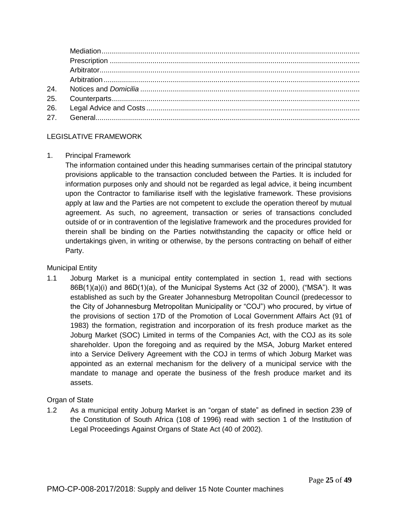## LEGISLATIVE FRAMEWORK

## 1. Principal Framework

The information contained under this heading summarises certain of the principal statutory provisions applicable to the transaction concluded between the Parties. It is included for information purposes only and should not be regarded as legal advice, it being incumbent upon the Contractor to familiarise itself with the legislative framework. These provisions apply at law and the Parties are not competent to exclude the operation thereof by mutual agreement. As such, no agreement, transaction or series of transactions concluded outside of or in contravention of the legislative framework and the procedures provided for therein shall be binding on the Parties notwithstanding the capacity or office held or undertakings given, in writing or otherwise, by the persons contracting on behalf of either Party.

## Municipal Entity

1.1 Joburg Market is a municipal entity contemplated in section 1, read with sections 86B(1)(a)(i) and 86D(1)(a), of the Municipal Systems Act (32 of 2000), ("MSA"). It was established as such by the Greater Johannesburg Metropolitan Council (predecessor to the City of Johannesburg Metropolitan Municipality or "COJ") who procured, by virtue of the provisions of section 17D of the Promotion of Local Government Affairs Act (91 of 1983) the formation, registration and incorporation of its fresh produce market as the Joburg Market (SOC) Limited in terms of the Companies Act, with the COJ as its sole shareholder. Upon the foregoing and as required by the MSA, Joburg Market entered into a Service Delivery Agreement with the COJ in terms of which Joburg Market was appointed as an external mechanism for the delivery of a municipal service with the mandate to manage and operate the business of the fresh produce market and its assets.

## Organ of State

1.2 As a municipal entity Joburg Market is an "organ of state" as defined in section 239 of the Constitution of South Africa (108 of 1996) read with section 1 of the Institution of Legal Proceedings Against Organs of State Act (40 of 2002).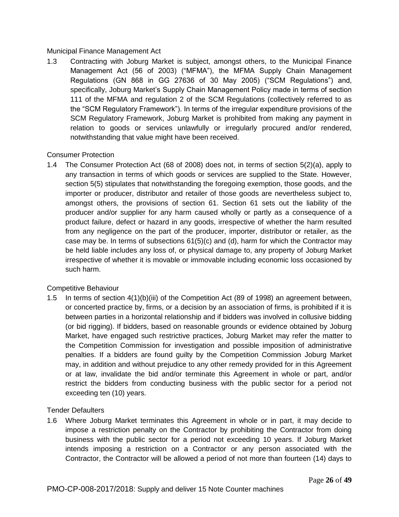## Municipal Finance Management Act

1.3 Contracting with Joburg Market is subject, amongst others, to the Municipal Finance Management Act (56 of 2003) ("MFMA"), the MFMA Supply Chain Management Regulations (GN 868 in GG 27636 of 30 May 2005) ("SCM Regulations") and, specifically, Joburg Market's Supply Chain Management Policy made in terms of section 111 of the MFMA and regulation 2 of the SCM Regulations (collectively referred to as the "SCM Regulatory Framework"). In terms of the irregular expenditure provisions of the SCM Regulatory Framework, Joburg Market is prohibited from making any payment in relation to goods or services unlawfully or irregularly procured and/or rendered, notwithstanding that value might have been received.

## Consumer Protection

1.4 The Consumer Protection Act (68 of 2008) does not, in terms of section 5(2)(a), apply to any transaction in terms of which goods or services are supplied to the State. However, section 5(5) stipulates that notwithstanding the foregoing exemption, those goods, and the importer or producer, distributor and retailer of those goods are nevertheless subject to, amongst others, the provisions of section 61. Section 61 sets out the liability of the producer and/or supplier for any harm caused wholly or partly as a consequence of a product failure, defect or hazard in any goods, irrespective of whether the harm resulted from any negligence on the part of the producer, importer, distributor or retailer, as the case may be. In terms of subsections  $61(5)(c)$  and (d), harm for which the Contractor may be held liable includes any loss of, or physical damage to, any property of Joburg Market irrespective of whether it is movable or immovable including economic loss occasioned by such harm.

## Competitive Behaviour

1.5 In terms of section 4(1)(b)(iii) of the Competition Act (89 of 1998) an agreement between, or concerted practice by, firms, or a decision by an association of firms, is prohibited if it is between parties in a horizontal relationship and if bidders was involved in collusive bidding (or bid rigging). If bidders, based on reasonable grounds or evidence obtained by Joburg Market, have engaged such restrictive practices, Joburg Market may refer the matter to the Competition Commission for investigation and possible imposition of administrative penalties. If a bidders are found guilty by the Competition Commission Joburg Market may, in addition and without prejudice to any other remedy provided for in this Agreement or at law, invalidate the bid and/or terminate this Agreement in whole or part, and/or restrict the bidders from conducting business with the public sector for a period not exceeding ten (10) years.

## Tender Defaulters

1.6 Where Joburg Market terminates this Agreement in whole or in part, it may decide to impose a restriction penalty on the Contractor by prohibiting the Contractor from doing business with the public sector for a period not exceeding 10 years. If Joburg Market intends imposing a restriction on a Contractor or any person associated with the Contractor, the Contractor will be allowed a period of not more than fourteen (14) days to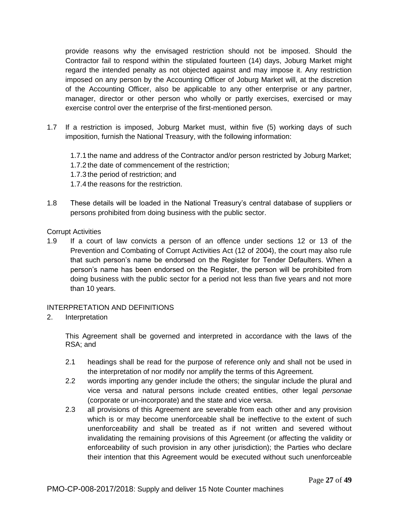provide reasons why the envisaged restriction should not be imposed. Should the Contractor fail to respond within the stipulated fourteen (14) days, Joburg Market might regard the intended penalty as not objected against and may impose it. Any restriction imposed on any person by the Accounting Officer of Joburg Market will, at the discretion of the Accounting Officer, also be applicable to any other enterprise or any partner, manager, director or other person who wholly or partly exercises, exercised or may exercise control over the enterprise of the first-mentioned person.

1.7 If a restriction is imposed, Joburg Market must, within five (5) working days of such imposition, furnish the National Treasury, with the following information:

1.7.1 the name and address of the Contractor and/or person restricted by Joburg Market; 1.7.2 the date of commencement of the restriction; 1.7.3 the period of restriction; and 1.7.4 the reasons for the restriction.

1.8 These details will be loaded in the National Treasury's central database of suppliers or persons prohibited from doing business with the public sector.

## Corrupt Activities

1.9 If a court of law convicts a person of an offence under sections 12 or 13 of the Prevention and Combating of Corrupt Activities Act (12 of 2004), the court may also rule that such person's name be endorsed on the Register for Tender Defaulters. When a person's name has been endorsed on the Register, the person will be prohibited from doing business with the public sector for a period not less than five years and not more than 10 years.

## INTERPRETATION AND DEFINITIONS

2. Interpretation

This Agreement shall be governed and interpreted in accordance with the laws of the RSA; and

- 2.1 headings shall be read for the purpose of reference only and shall not be used in the interpretation of nor modify nor amplify the terms of this Agreement.
- 2.2 words importing any gender include the others; the singular include the plural and vice versa and natural persons include created entities, other legal *personae* (corporate or un-incorporate) and the state and vice versa.
- 2.3 all provisions of this Agreement are severable from each other and any provision which is or may become unenforceable shall be ineffective to the extent of such unenforceability and shall be treated as if not written and severed without invalidating the remaining provisions of this Agreement (or affecting the validity or enforceability of such provision in any other jurisdiction); the Parties who declare their intention that this Agreement would be executed without such unenforceable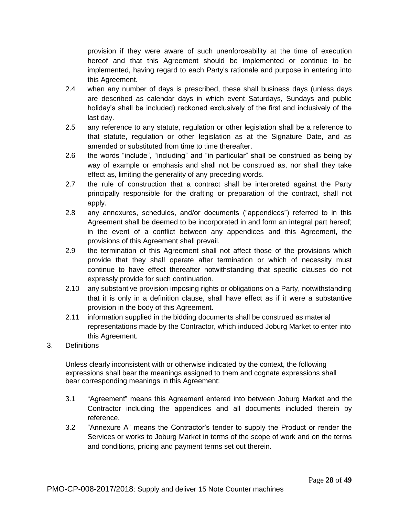provision if they were aware of such unenforceability at the time of execution hereof and that this Agreement should be implemented or continue to be implemented, having regard to each Party's rationale and purpose in entering into this Agreement.

- 2.4 when any number of days is prescribed, these shall business days (unless days are described as calendar days in which event Saturdays, Sundays and public holiday's shall be included) reckoned exclusively of the first and inclusively of the last day.
- 2.5 any reference to any statute, regulation or other legislation shall be a reference to that statute, regulation or other legislation as at the Signature Date, and as amended or substituted from time to time thereafter.
- 2.6 the words "include", "including" and "in particular" shall be construed as being by way of example or emphasis and shall not be construed as, nor shall they take effect as, limiting the generality of any preceding words.
- 2.7 the rule of construction that a contract shall be interpreted against the Party principally responsible for the drafting or preparation of the contract, shall not apply.
- 2.8 any annexures, schedules, and/or documents ("appendices") referred to in this Agreement shall be deemed to be incorporated in and form an integral part hereof; in the event of a conflict between any appendices and this Agreement, the provisions of this Agreement shall prevail.
- 2.9 the termination of this Agreement shall not affect those of the provisions which provide that they shall operate after termination or which of necessity must continue to have effect thereafter notwithstanding that specific clauses do not expressly provide for such continuation.
- 2.10 any substantive provision imposing rights or obligations on a Party, notwithstanding that it is only in a definition clause, shall have effect as if it were a substantive provision in the body of this Agreement.
- 2.11 information supplied in the bidding documents shall be construed as material representations made by the Contractor, which induced Joburg Market to enter into this Agreement.
- 3. Definitions

Unless clearly inconsistent with or otherwise indicated by the context, the following expressions shall bear the meanings assigned to them and cognate expressions shall bear corresponding meanings in this Agreement:

- 3.1 "Agreement" means this Agreement entered into between Joburg Market and the Contractor including the appendices and all documents included therein by reference.
- 3.2 "Annexure A" means the Contractor's tender to supply the Product or render the Services or works to Joburg Market in terms of the scope of work and on the terms and conditions, pricing and payment terms set out therein.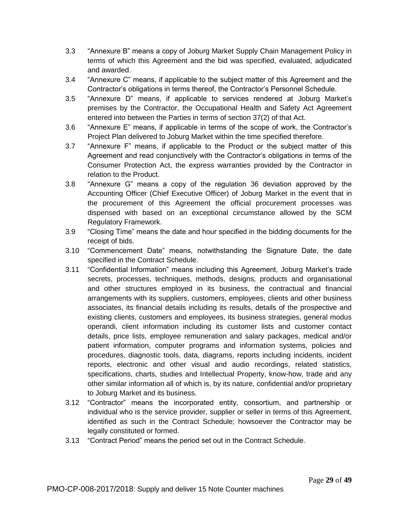- 3.3 "Annexure B" means a copy of Joburg Market Supply Chain Management Policy in terms of which this Agreement and the bid was specified, evaluated, adjudicated and awarded.
- 3.4 "Annexure C" means, if applicable to the subject matter of this Agreement and the Contractor's obligations in terms thereof, the Contractor's Personnel Schedule.
- 3.5 "Annexure D" means, if applicable to services rendered at Joburg Market's premises by the Contractor, the Occupational Health and Safety Act Agreement entered into between the Parties in terms of section 37(2) of that Act.
- 3.6 "Annexure E" means, if applicable in terms of the scope of work, the Contractor's Project Plan delivered to Joburg Market within the time specified therefore.
- 3.7 "Annexure F" means, if applicable to the Product or the subject matter of this Agreement and read conjunctively with the Contractor's obligations in terms of the Consumer Protection Act, the express warranties provided by the Contractor in relation to the Product.
- 3.8 "Annexure G" means a copy of the regulation 36 deviation approved by the Accounting Officer (Chief Executive Officer) of Joburg Market in the event that in the procurement of this Agreement the official procurement processes was dispensed with based on an exceptional circumstance allowed by the SCM Regulatory Framework.
- 3.9 "Closing Time" means the date and hour specified in the bidding documents for the receipt of bids.
- 3.10 "Commencement Date" means, notwithstanding the Signature Date, the date specified in the Contract Schedule.
- 3.11 "Confidential Information" means including this Agreement, Joburg Market's trade secrets, processes, techniques, methods, designs, products and organisational and other structures employed in its business, the contractual and financial arrangements with its suppliers, customers, employees, clients and other business associates, its financial details including its results, details of the prospective and existing clients, customers and employees, its business strategies, general modus operandi, client information including its customer lists and customer contact details, price lists, employee remuneration and salary packages, medical and/or patient information, computer programs and information systems, policies and procedures, diagnostic tools, data, diagrams, reports including incidents, incident reports, electronic and other visual and audio recordings, related statistics, specifications, charts, studies and Intellectual Property, know-how, trade and any other similar information all of which is, by its nature, confidential and/or proprietary to Joburg Market and its business.
- 3.12 "Contractor" means the incorporated entity, consortium, and partnership or individual who is the service provider, supplier or seller in terms of this Agreement, identified as such in the Contract Schedule; howsoever the Contractor may be legally constituted or formed.
- 3.13 "Contract Period" means the period set out in the Contract Schedule.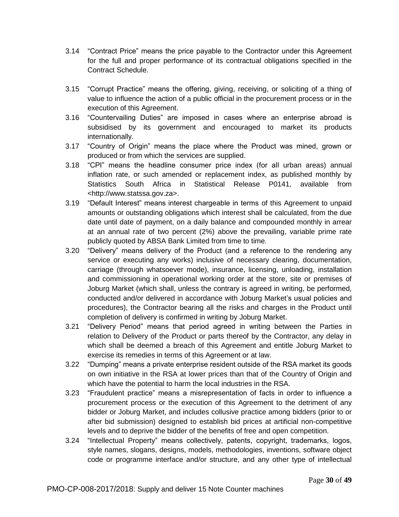- 3.14 "Contract Price" means the price payable to the Contractor under this Agreement for the full and proper performance of its contractual obligations specified in the Contract Schedule.
- 3.15 "Corrupt Practice" means the offering, giving, receiving, or soliciting of a thing of value to influence the action of a public official in the procurement process or in the execution of this Agreement.
- 3.16 "Countervailing Duties" are imposed in cases where an enterprise abroad is subsidised by its government and encouraged to market its products internationally.
- 3.17 "Country of Origin" means the place where the Product was mined, grown or produced or from which the services are supplied.
- 3.18 "CPI" means the headline consumer price index (for all urban areas) annual inflation rate, or such amended or replacement index, as published monthly by Statistics South Africa in Statistical Release P0141, available from <http://www.statssa.gov.za>.
- 3.19 "Default Interest" means interest chargeable in terms of this Agreement to unpaid amounts or outstanding obligations which interest shall be calculated, from the due date until date of payment, on a daily balance and compounded monthly in arrear at an annual rate of two percent (2%) above the prevailing, variable prime rate publicly quoted by ABSA Bank Limited from time to time.
- 3.20 "Delivery" means delivery of the Product (and a reference to the rendering any service or executing any works) inclusive of necessary clearing, documentation, carriage (through whatsoever mode), insurance, licensing, unloading, installation and commissioning in operational working order at the store, site or premises of Joburg Market (which shall, unless the contrary is agreed in writing, be performed, conducted and/or delivered in accordance with Joburg Market's usual policies and procedures), the Contractor bearing all the risks and charges in the Product until completion of delivery is confirmed in writing by Joburg Market.
- 3.21 "Delivery Period" means that period agreed in writing between the Parties in relation to Delivery of the Product or parts thereof by the Contractor, any delay in which shall be deemed a breach of this Agreement and entitle Joburg Market to exercise its remedies in terms of this Agreement or at law.
- 3.22 "Dumping" means a private enterprise resident outside of the RSA market its goods on own initiative in the RSA at lower prices than that of the Country of Origin and which have the potential to harm the local industries in the RSA.
- 3.23 "Fraudulent practice" means a misrepresentation of facts in order to influence a procurement process or the execution of this Agreement to the detriment of any bidder or Joburg Market, and includes collusive practice among bidders (prior to or after bid submission) designed to establish bid prices at artificial non-competitive levels and to deprive the bidder of the benefits of free and open competition.
- 3.24 "Intellectual Property" means collectively, patents, copyright, trademarks, logos, style names, slogans, designs, models, methodologies, inventions, software object code or programme interface and/or structure, and any other type of intellectual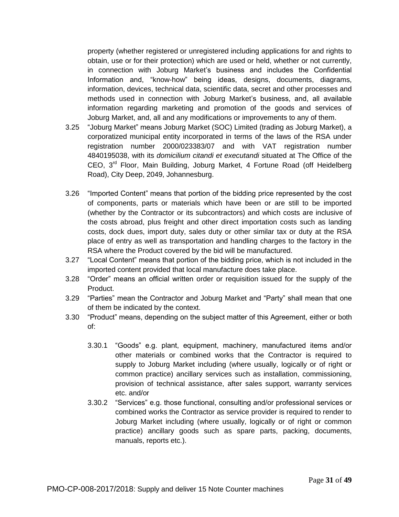property (whether registered or unregistered including applications for and rights to obtain, use or for their protection) which are used or held, whether or not currently, in connection with Joburg Market's business and includes the Confidential Information and, "know-how" being ideas, designs, documents, diagrams, information, devices, technical data, scientific data, secret and other processes and methods used in connection with Joburg Market's business, and, all available information regarding marketing and promotion of the goods and services of Joburg Market, and, all and any modifications or improvements to any of them.

- 3.25 "Joburg Market" means Joburg Market (SOC) Limited (trading as Joburg Market), a corporatized municipal entity incorporated in terms of the laws of the RSA under registration number 2000/023383/07 and with VAT registration number 4840195038, with its *domicilium citandi et executandi* situated at The Office of the CEO, 3<sup>rd</sup> Floor, Main Building, Joburg Market, 4 Fortune Road (off Heidelberg Road), City Deep, 2049, Johannesburg.
- 3.26 "Imported Content" means that portion of the bidding price represented by the cost of components, parts or materials which have been or are still to be imported (whether by the Contractor or its subcontractors) and which costs are inclusive of the costs abroad, plus freight and other direct importation costs such as landing costs, dock dues, import duty, sales duty or other similar tax or duty at the RSA place of entry as well as transportation and handling charges to the factory in the RSA where the Product covered by the bid will be manufactured.
- 3.27 "Local Content" means that portion of the bidding price, which is not included in the imported content provided that local manufacture does take place.
- 3.28 "Order" means an official written order or requisition issued for the supply of the Product.
- 3.29 "Parties" mean the Contractor and Joburg Market and "Party" shall mean that one of them be indicated by the context.
- 3.30 "Product" means, depending on the subject matter of this Agreement, either or both of:
	- 3.30.1 "Goods" e.g. plant, equipment, machinery, manufactured items and/or other materials or combined works that the Contractor is required to supply to Joburg Market including (where usually, logically or of right or common practice) ancillary services such as installation, commissioning, provision of technical assistance, after sales support, warranty services etc. and/or
	- 3.30.2 "Services" e.g. those functional, consulting and/or professional services or combined works the Contractor as service provider is required to render to Joburg Market including (where usually, logically or of right or common practice) ancillary goods such as spare parts, packing, documents, manuals, reports etc.).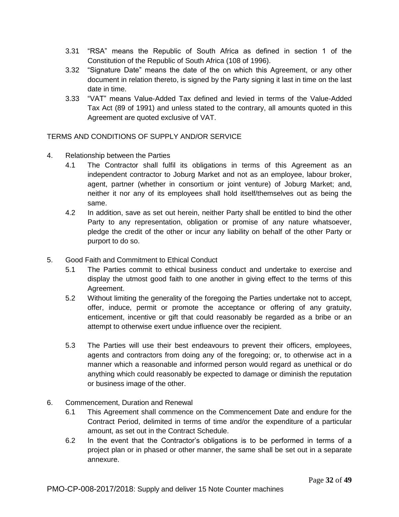- 3.31 "RSA" means the Republic of South Africa as defined in section 1 of the Constitution of the Republic of South Africa (108 of 1996).
- 3.32 "Signature Date" means the date of the on which this Agreement, or any other document in relation thereto, is signed by the Party signing it last in time on the last date in time.
- 3.33 "VAT" means Value-Added Tax defined and levied in terms of the Value-Added Tax Act (89 of 1991) and unless stated to the contrary, all amounts quoted in this Agreement are quoted exclusive of VAT.

TERMS AND CONDITIONS OF SUPPLY AND/OR SERVICE

- 4. Relationship between the Parties
	- 4.1 The Contractor shall fulfil its obligations in terms of this Agreement as an independent contractor to Joburg Market and not as an employee, labour broker, agent, partner (whether in consortium or joint venture) of Joburg Market; and, neither it nor any of its employees shall hold itself/themselves out as being the same.
	- 4.2 In addition, save as set out herein, neither Party shall be entitled to bind the other Party to any representation, obligation or promise of any nature whatsoever, pledge the credit of the other or incur any liability on behalf of the other Party or purport to do so.
- 5. Good Faith and Commitment to Ethical Conduct
	- 5.1 The Parties commit to ethical business conduct and undertake to exercise and display the utmost good faith to one another in giving effect to the terms of this Agreement.
	- 5.2 Without limiting the generality of the foregoing the Parties undertake not to accept, offer, induce, permit or promote the acceptance or offering of any gratuity, enticement, incentive or gift that could reasonably be regarded as a bribe or an attempt to otherwise exert undue influence over the recipient.
	- 5.3 The Parties will use their best endeavours to prevent their officers, employees, agents and contractors from doing any of the foregoing; or, to otherwise act in a manner which a reasonable and informed person would regard as unethical or do anything which could reasonably be expected to damage or diminish the reputation or business image of the other.
- 6. Commencement, Duration and Renewal
	- 6.1 This Agreement shall commence on the Commencement Date and endure for the Contract Period, delimited in terms of time and/or the expenditure of a particular amount, as set out in the Contract Schedule.
	- 6.2 In the event that the Contractor's obligations is to be performed in terms of a project plan or in phased or other manner, the same shall be set out in a separate annexure.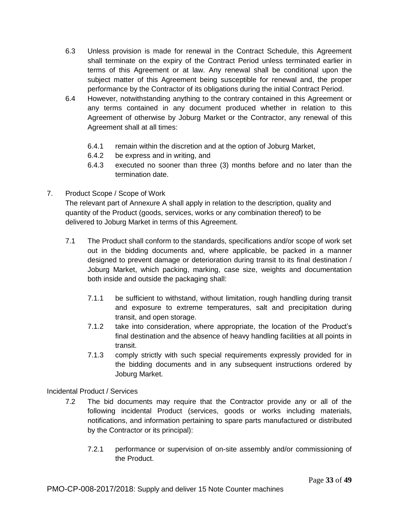- 6.3 Unless provision is made for renewal in the Contract Schedule, this Agreement shall terminate on the expiry of the Contract Period unless terminated earlier in terms of this Agreement or at law. Any renewal shall be conditional upon the subject matter of this Agreement being susceptible for renewal and, the proper performance by the Contractor of its obligations during the initial Contract Period.
- 6.4 However, notwithstanding anything to the contrary contained in this Agreement or any terms contained in any document produced whether in relation to this Agreement of otherwise by Joburg Market or the Contractor, any renewal of this Agreement shall at all times:
	- 6.4.1 remain within the discretion and at the option of Joburg Market,
	- 6.4.2 be express and in writing, and
	- 6.4.3 executed no sooner than three (3) months before and no later than the termination date.
- 7. Product Scope / Scope of Work

The relevant part of Annexure A shall apply in relation to the description, quality and quantity of the Product (goods, services, works or any combination thereof) to be delivered to Joburg Market in terms of this Agreement.

- 7.1 The Product shall conform to the standards, specifications and/or scope of work set out in the bidding documents and, where applicable, be packed in a manner designed to prevent damage or deterioration during transit to its final destination / Joburg Market, which packing, marking, case size, weights and documentation both inside and outside the packaging shall:
	- 7.1.1 be sufficient to withstand, without limitation, rough handling during transit and exposure to extreme temperatures, salt and precipitation during transit, and open storage.
	- 7.1.2 take into consideration, where appropriate, the location of the Product's final destination and the absence of heavy handling facilities at all points in transit.
	- 7.1.3 comply strictly with such special requirements expressly provided for in the bidding documents and in any subsequent instructions ordered by Joburg Market.

Incidental Product / Services

- 7.2 The bid documents may require that the Contractor provide any or all of the following incidental Product (services, goods or works including materials, notifications, and information pertaining to spare parts manufactured or distributed by the Contractor or its principal):
	- 7.2.1 performance or supervision of on-site assembly and/or commissioning of the Product.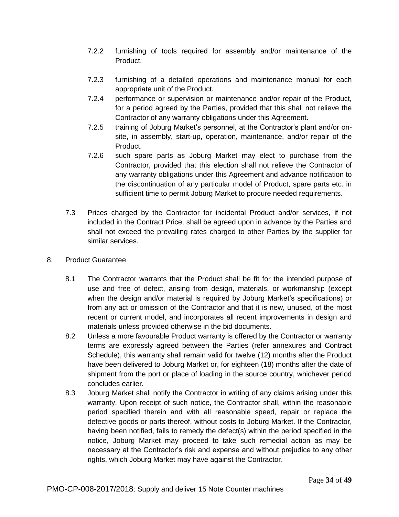- 7.2.2 furnishing of tools required for assembly and/or maintenance of the Product.
- 7.2.3 furnishing of a detailed operations and maintenance manual for each appropriate unit of the Product.
- 7.2.4 performance or supervision or maintenance and/or repair of the Product, for a period agreed by the Parties, provided that this shall not relieve the Contractor of any warranty obligations under this Agreement.
- 7.2.5 training of Joburg Market's personnel, at the Contractor's plant and/or onsite, in assembly, start-up, operation, maintenance, and/or repair of the Product.
- 7.2.6 such spare parts as Joburg Market may elect to purchase from the Contractor, provided that this election shall not relieve the Contractor of any warranty obligations under this Agreement and advance notification to the discontinuation of any particular model of Product, spare parts etc. in sufficient time to permit Joburg Market to procure needed requirements.
- 7.3 Prices charged by the Contractor for incidental Product and/or services, if not included in the Contract Price, shall be agreed upon in advance by the Parties and shall not exceed the prevailing rates charged to other Parties by the supplier for similar services.
- 8. Product Guarantee
	- 8.1 The Contractor warrants that the Product shall be fit for the intended purpose of use and free of defect, arising from design, materials, or workmanship (except when the design and/or material is required by Joburg Market's specifications) or from any act or omission of the Contractor and that it is new, unused, of the most recent or current model, and incorporates all recent improvements in design and materials unless provided otherwise in the bid documents.
	- 8.2 Unless a more favourable Product warranty is offered by the Contractor or warranty terms are expressly agreed between the Parties (refer annexures and Contract Schedule), this warranty shall remain valid for twelve (12) months after the Product have been delivered to Joburg Market or, for eighteen (18) months after the date of shipment from the port or place of loading in the source country, whichever period concludes earlier.
	- 8.3 Joburg Market shall notify the Contractor in writing of any claims arising under this warranty. Upon receipt of such notice, the Contractor shall, within the reasonable period specified therein and with all reasonable speed, repair or replace the defective goods or parts thereof, without costs to Joburg Market. If the Contractor, having been notified, fails to remedy the defect(s) within the period specified in the notice, Joburg Market may proceed to take such remedial action as may be necessary at the Contractor's risk and expense and without prejudice to any other rights, which Joburg Market may have against the Contractor.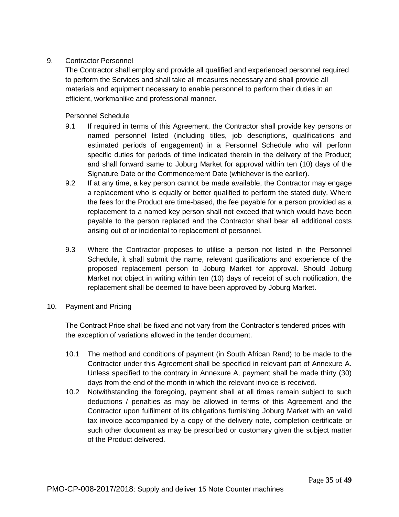## 9. Contractor Personnel

The Contractor shall employ and provide all qualified and experienced personnel required to perform the Services and shall take all measures necessary and shall provide all materials and equipment necessary to enable personnel to perform their duties in an efficient, workmanlike and professional manner.

Personnel Schedule

- 9.1 If required in terms of this Agreement, the Contractor shall provide key persons or named personnel listed (including titles, job descriptions, qualifications and estimated periods of engagement) in a Personnel Schedule who will perform specific duties for periods of time indicated therein in the delivery of the Product; and shall forward same to Joburg Market for approval within ten (10) days of the Signature Date or the Commencement Date (whichever is the earlier).
- 9.2 If at any time, a key person cannot be made available, the Contractor may engage a replacement who is equally or better qualified to perform the stated duty. Where the fees for the Product are time-based, the fee payable for a person provided as a replacement to a named key person shall not exceed that which would have been payable to the person replaced and the Contractor shall bear all additional costs arising out of or incidental to replacement of personnel.
- 9.3 Where the Contractor proposes to utilise a person not listed in the Personnel Schedule, it shall submit the name, relevant qualifications and experience of the proposed replacement person to Joburg Market for approval. Should Joburg Market not object in writing within ten (10) days of receipt of such notification, the replacement shall be deemed to have been approved by Joburg Market.
- 10. Payment and Pricing

The Contract Price shall be fixed and not vary from the Contractor's tendered prices with the exception of variations allowed in the tender document.

- 10.1 The method and conditions of payment (in South African Rand) to be made to the Contractor under this Agreement shall be specified in relevant part of Annexure A. Unless specified to the contrary in Annexure A, payment shall be made thirty (30) days from the end of the month in which the relevant invoice is received.
- 10.2 Notwithstanding the foregoing, payment shall at all times remain subject to such deductions / penalties as may be allowed in terms of this Agreement and the Contractor upon fulfilment of its obligations furnishing Joburg Market with an valid tax invoice accompanied by a copy of the delivery note, completion certificate or such other document as may be prescribed or customary given the subject matter of the Product delivered.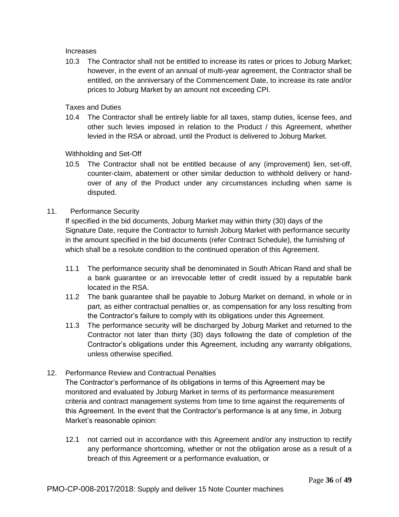Increases

10.3 The Contractor shall not be entitled to increase its rates or prices to Joburg Market; however, in the event of an annual of multi-year agreement, the Contractor shall be entitled, on the anniversary of the Commencement Date, to increase its rate and/or prices to Joburg Market by an amount not exceeding CPI.

Taxes and Duties

10.4 The Contractor shall be entirely liable for all taxes, stamp duties, license fees, and other such levies imposed in relation to the Product / this Agreement, whether levied in the RSA or abroad, until the Product is delivered to Joburg Market.

Withholding and Set-Off

10.5 The Contractor shall not be entitled because of any (improvement) lien, set-off, counter-claim, abatement or other similar deduction to withhold delivery or handover of any of the Product under any circumstances including when same is disputed.

## 11. Performance Security

If specified in the bid documents, Joburg Market may within thirty (30) days of the Signature Date, require the Contractor to furnish Joburg Market with performance security in the amount specified in the bid documents (refer Contract Schedule), the furnishing of which shall be a resolute condition to the continued operation of this Agreement.

- 11.1 The performance security shall be denominated in South African Rand and shall be a bank guarantee or an irrevocable letter of credit issued by a reputable bank located in the RSA.
- 11.2 The bank guarantee shall be payable to Joburg Market on demand, in whole or in part, as either contractual penalties or, as compensation for any loss resulting from the Contractor's failure to comply with its obligations under this Agreement.
- 11.3 The performance security will be discharged by Joburg Market and returned to the Contractor not later than thirty (30) days following the date of completion of the Contractor's obligations under this Agreement, including any warranty obligations, unless otherwise specified.
- 12. Performance Review and Contractual Penalties

The Contractor's performance of its obligations in terms of this Agreement may be monitored and evaluated by Joburg Market in terms of its performance measurement criteria and contract management systems from time to time against the requirements of this Agreement. In the event that the Contractor's performance is at any time, in Joburg Market's reasonable opinion:

12.1 not carried out in accordance with this Agreement and/or any instruction to rectify any performance shortcoming, whether or not the obligation arose as a result of a breach of this Agreement or a performance evaluation, or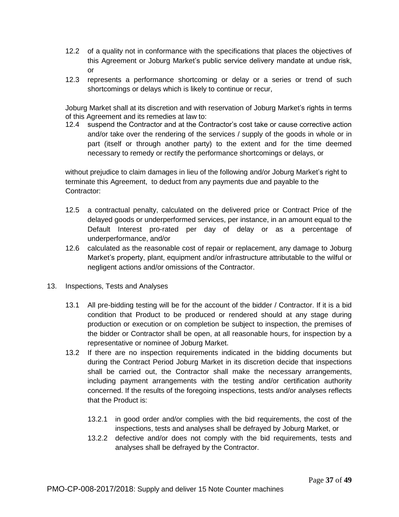- 12.2 of a quality not in conformance with the specifications that places the objectives of this Agreement or Joburg Market's public service delivery mandate at undue risk, or
- 12.3 represents a performance shortcoming or delay or a series or trend of such shortcomings or delays which is likely to continue or recur,

Joburg Market shall at its discretion and with reservation of Joburg Market's rights in terms of this Agreement and its remedies at law to:

12.4 suspend the Contractor and at the Contractor's cost take or cause corrective action and/or take over the rendering of the services / supply of the goods in whole or in part (itself or through another party) to the extent and for the time deemed necessary to remedy or rectify the performance shortcomings or delays, or

without prejudice to claim damages in lieu of the following and/or Joburg Market's right to terminate this Agreement, to deduct from any payments due and payable to the Contractor:

- 12.5 a contractual penalty, calculated on the delivered price or Contract Price of the delayed goods or underperformed services, per instance, in an amount equal to the Default Interest pro-rated per day of delay or as a percentage of underperformance, and/or
- 12.6 calculated as the reasonable cost of repair or replacement, any damage to Joburg Market's property, plant, equipment and/or infrastructure attributable to the wilful or negligent actions and/or omissions of the Contractor.
- 13. Inspections, Tests and Analyses
	- 13.1 All pre-bidding testing will be for the account of the bidder / Contractor. If it is a bid condition that Product to be produced or rendered should at any stage during production or execution or on completion be subject to inspection, the premises of the bidder or Contractor shall be open, at all reasonable hours, for inspection by a representative or nominee of Joburg Market.
	- 13.2 If there are no inspection requirements indicated in the bidding documents but during the Contract Period Joburg Market in its discretion decide that inspections shall be carried out, the Contractor shall make the necessary arrangements, including payment arrangements with the testing and/or certification authority concerned. If the results of the foregoing inspections, tests and/or analyses reflects that the Product is:
		- 13.2.1 in good order and/or complies with the bid requirements, the cost of the inspections, tests and analyses shall be defrayed by Joburg Market, or
		- 13.2.2 defective and/or does not comply with the bid requirements, tests and analyses shall be defrayed by the Contractor.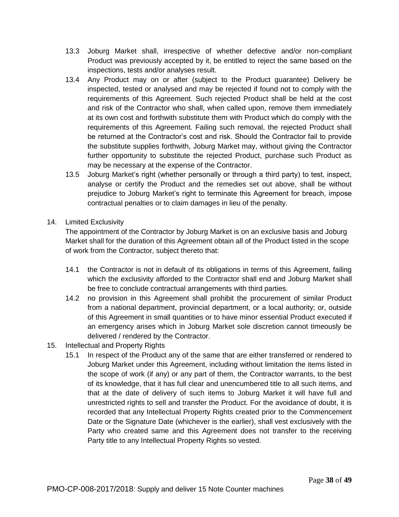- 13.3 Joburg Market shall, irrespective of whether defective and/or non-compliant Product was previously accepted by it, be entitled to reject the same based on the inspections, tests and/or analyses result.
- 13.4 Any Product may on or after (subject to the Product guarantee) Delivery be inspected, tested or analysed and may be rejected if found not to comply with the requirements of this Agreement. Such rejected Product shall be held at the cost and risk of the Contractor who shall, when called upon, remove them immediately at its own cost and forthwith substitute them with Product which do comply with the requirements of this Agreement. Failing such removal, the rejected Product shall be returned at the Contractor's cost and risk. Should the Contractor fail to provide the substitute supplies forthwith, Joburg Market may, without giving the Contractor further opportunity to substitute the rejected Product, purchase such Product as may be necessary at the expense of the Contractor.
- 13.5 Joburg Market's right (whether personally or through a third party) to test, inspect, analyse or certify the Product and the remedies set out above, shall be without prejudice to Joburg Market's right to terminate this Agreement for breach, impose contractual penalties or to claim damages in lieu of the penalty.
- 14. Limited Exclusivity

The appointment of the Contractor by Joburg Market is on an exclusive basis and Joburg Market shall for the duration of this Agreement obtain all of the Product listed in the scope of work from the Contractor, subject thereto that:

- 14.1 the Contractor is not in default of its obligations in terms of this Agreement, failing which the exclusivity afforded to the Contractor shall end and Joburg Market shall be free to conclude contractual arrangements with third parties.
- 14.2 no provision in this Agreement shall prohibit the procurement of similar Product from a national department, provincial department, or a local authority; or, outside of this Agreement in small quantities or to have minor essential Product executed if an emergency arises which in Joburg Market sole discretion cannot timeously be delivered / rendered by the Contractor.
- 15. Intellectual and Property Rights
	- 15.1 In respect of the Product any of the same that are either transferred or rendered to Joburg Market under this Agreement, including without limitation the items listed in the scope of work (if any) or any part of them, the Contractor warrants, to the best of its knowledge, that it has full clear and unencumbered title to all such items, and that at the date of delivery of such items to Joburg Market it will have full and unrestricted rights to sell and transfer the Product. For the avoidance of doubt, it is recorded that any Intellectual Property Rights created prior to the Commencement Date or the Signature Date (whichever is the earlier), shall vest exclusively with the Party who created same and this Agreement does not transfer to the receiving Party title to any Intellectual Property Rights so vested.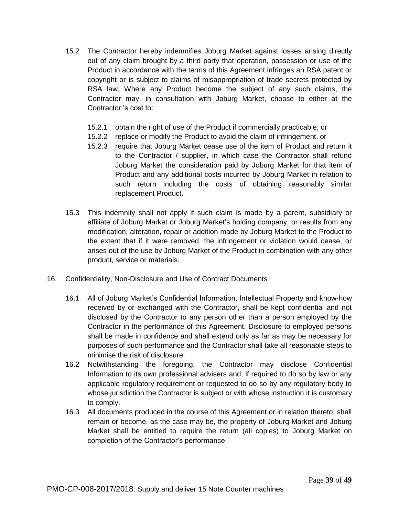- 15.2 The Contractor hereby indemnifies Joburg Market against losses arising directly out of any claim brought by a third party that operation, possession or use of the Product in accordance with the terms of this Agreement infringes an RSA patent or copyright or is subject to claims of misappropriation of trade secrets protected by RSA law. Where any Product become the subject of any such claims, the Contractor may, in consultation with Joburg Market, choose to either at the Contractor 's cost to:
	- 15.2.1 obtain the right of use of the Product if commercially practicable, or
	- 15.2.2 replace or modify the Product to avoid the claim of infringement, or
	- 15.2.3 require that Joburg Market cease use of the item of Product and return it to the Contractor / supplier, in which case the Contractor shall refund Joburg Market the consideration paid by Joburg Market for that item of Product and any additional costs incurred by Joburg Market in relation to such return including the costs of obtaining reasonably similar replacement Product.
- 15.3 This indemnity shall not apply if such claim is made by a parent, subsidiary or affiliate of Joburg Market or Joburg Market's holding company, or results from any modification, alteration, repair or addition made by Joburg Market to the Product to the extent that if it were removed, the infringement or violation would cease, or arises out of the use by Joburg Market of the Product in combination with any other product, service or materials.
- 16. Confidentiality, Non-Disclosure and Use of Contract Documents
	- 16.1 All of Joburg Market's Confidential Information, Intellectual Property and know-how received by or exchanged with the Contractor, shall be kept confidential and not disclosed by the Contractor to any person other than a person employed by the Contractor in the performance of this Agreement. Disclosure to employed persons shall be made in confidence and shall extend only as far as may be necessary for purposes of such performance and the Contractor shall take all reasonable steps to minimise the risk of disclosure.
	- 16.2 Notwithstanding the foregoing, the Contractor may disclose Confidential Information to its own professional advisers and, if required to do so by law or any applicable regulatory requirement or requested to do so by any regulatory body to whose jurisdiction the Contractor is subject or with whose instruction it is customary to comply.
	- 16.3 All documents produced in the course of this Agreement or in relation thereto, shall remain or become, as the case may be, the property of Joburg Market and Joburg Market shall be entitled to require the return (all copies) to Joburg Market on completion of the Contractor's performance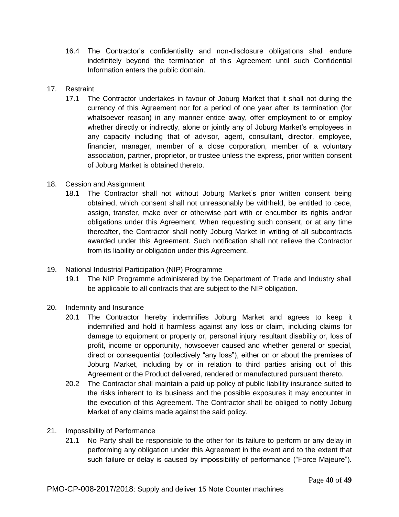- 16.4 The Contractor's confidentiality and non-disclosure obligations shall endure indefinitely beyond the termination of this Agreement until such Confidential Information enters the public domain.
- 17. Restraint
	- 17.1 The Contractor undertakes in favour of Joburg Market that it shall not during the currency of this Agreement nor for a period of one year after its termination (for whatsoever reason) in any manner entice away, offer employment to or employ whether directly or indirectly, alone or jointly any of Joburg Market's employees in any capacity including that of advisor, agent, consultant, director, employee, financier, manager, member of a close corporation, member of a voluntary association, partner, proprietor, or trustee unless the express, prior written consent of Joburg Market is obtained thereto.
- 18. Cession and Assignment
	- 18.1 The Contractor shall not without Joburg Market's prior written consent being obtained, which consent shall not unreasonably be withheld, be entitled to cede, assign, transfer, make over or otherwise part with or encumber its rights and/or obligations under this Agreement. When requesting such consent, or at any time thereafter, the Contractor shall notify Joburg Market in writing of all subcontracts awarded under this Agreement. Such notification shall not relieve the Contractor from its liability or obligation under this Agreement.
- 19. National Industrial Participation (NIP) Programme
	- 19.1 The NIP Programme administered by the Department of Trade and Industry shall be applicable to all contracts that are subject to the NIP obligation.
- 20. Indemnity and Insurance
	- 20.1 The Contractor hereby indemnifies Joburg Market and agrees to keep it indemnified and hold it harmless against any loss or claim, including claims for damage to equipment or property or, personal injury resultant disability or, loss of profit, income or opportunity, howsoever caused and whether general or special, direct or consequential (collectively "any loss"), either on or about the premises of Joburg Market, including by or in relation to third parties arising out of this Agreement or the Product delivered, rendered or manufactured pursuant thereto.
	- 20.2 The Contractor shall maintain a paid up policy of public liability insurance suited to the risks inherent to its business and the possible exposures it may encounter in the execution of this Agreement. The Contractor shall be obliged to notify Joburg Market of any claims made against the said policy.
- 21. Impossibility of Performance
	- 21.1 No Party shall be responsible to the other for its failure to perform or any delay in performing any obligation under this Agreement in the event and to the extent that such failure or delay is caused by impossibility of performance ("Force Majeure").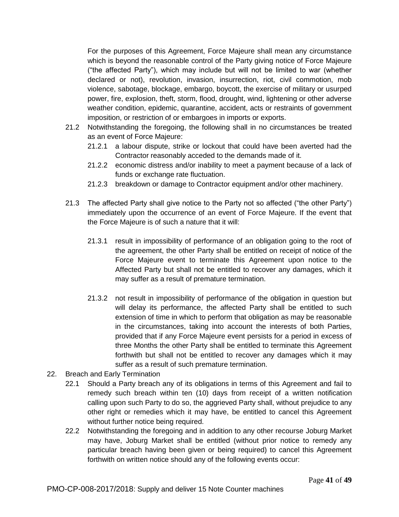For the purposes of this Agreement, Force Majeure shall mean any circumstance which is beyond the reasonable control of the Party giving notice of Force Majeure ("the affected Party"), which may include but will not be limited to war (whether declared or not), revolution, invasion, insurrection, riot, civil commotion, mob violence, sabotage, blockage, embargo, boycott, the exercise of military or usurped power, fire, explosion, theft, storm, flood, drought, wind, lightening or other adverse weather condition, epidemic, quarantine, accident, acts or restraints of government imposition, or restriction of or embargoes in imports or exports.

- 21.2 Notwithstanding the foregoing, the following shall in no circumstances be treated as an event of Force Majeure:
	- 21.2.1 a labour dispute, strike or lockout that could have been averted had the Contractor reasonably acceded to the demands made of it.
	- 21.2.2 economic distress and/or inability to meet a payment because of a lack of funds or exchange rate fluctuation.
	- 21.2.3 breakdown or damage to Contractor equipment and/or other machinery.
- 21.3 The affected Party shall give notice to the Party not so affected ("the other Party") immediately upon the occurrence of an event of Force Majeure. If the event that the Force Majeure is of such a nature that it will:
	- 21.3.1 result in impossibility of performance of an obligation going to the root of the agreement, the other Party shall be entitled on receipt of notice of the Force Majeure event to terminate this Agreement upon notice to the Affected Party but shall not be entitled to recover any damages, which it may suffer as a result of premature termination.
	- 21.3.2 not result in impossibility of performance of the obligation in question but will delay its performance, the affected Party shall be entitled to such extension of time in which to perform that obligation as may be reasonable in the circumstances, taking into account the interests of both Parties, provided that if any Force Majeure event persists for a period in excess of three Months the other Party shall be entitled to terminate this Agreement forthwith but shall not be entitled to recover any damages which it may suffer as a result of such premature termination.
- 22. Breach and Early Termination
	- 22.1 Should a Party breach any of its obligations in terms of this Agreement and fail to remedy such breach within ten (10) days from receipt of a written notification calling upon such Party to do so, the aggrieved Party shall, without prejudice to any other right or remedies which it may have, be entitled to cancel this Agreement without further notice being required.
	- 22.2 Notwithstanding the foregoing and in addition to any other recourse Joburg Market may have, Joburg Market shall be entitled (without prior notice to remedy any particular breach having been given or being required) to cancel this Agreement forthwith on written notice should any of the following events occur: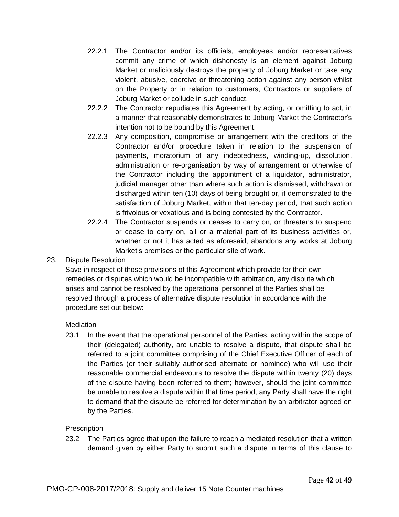- 22.2.1 The Contractor and/or its officials, employees and/or representatives commit any crime of which dishonesty is an element against Joburg Market or maliciously destroys the property of Joburg Market or take any violent, abusive, coercive or threatening action against any person whilst on the Property or in relation to customers, Contractors or suppliers of Joburg Market or collude in such conduct.
- 22.2.2 The Contractor repudiates this Agreement by acting, or omitting to act, in a manner that reasonably demonstrates to Joburg Market the Contractor's intention not to be bound by this Agreement.
- 22.2.3 Any composition, compromise or arrangement with the creditors of the Contractor and/or procedure taken in relation to the suspension of payments, moratorium of any indebtedness, winding-up, dissolution, administration or re-organisation by way of arrangement or otherwise of the Contractor including the appointment of a liquidator, administrator, judicial manager other than where such action is dismissed, withdrawn or discharged within ten (10) days of being brought or, if demonstrated to the satisfaction of Joburg Market, within that ten-day period, that such action is frivolous or vexatious and is being contested by the Contractor.
- 22.2.4 The Contractor suspends or ceases to carry on, or threatens to suspend or cease to carry on, all or a material part of its business activities or, whether or not it has acted as aforesaid, abandons any works at Joburg Market's premises or the particular site of work.

## 23. Dispute Resolution

Save in respect of those provisions of this Agreement which provide for their own remedies or disputes which would be incompatible with arbitration, any dispute which arises and cannot be resolved by the operational personnel of the Parties shall be resolved through a process of alternative dispute resolution in accordance with the procedure set out below:

## **Mediation**

23.1 In the event that the operational personnel of the Parties, acting within the scope of their (delegated) authority, are unable to resolve a dispute, that dispute shall be referred to a joint committee comprising of the Chief Executive Officer of each of the Parties (or their suitably authorised alternate or nominee) who will use their reasonable commercial endeavours to resolve the dispute within twenty (20) days of the dispute having been referred to them; however, should the joint committee be unable to resolve a dispute within that time period, any Party shall have the right to demand that the dispute be referred for determination by an arbitrator agreed on by the Parties.

## Prescription

23.2 The Parties agree that upon the failure to reach a mediated resolution that a written demand given by either Party to submit such a dispute in terms of this clause to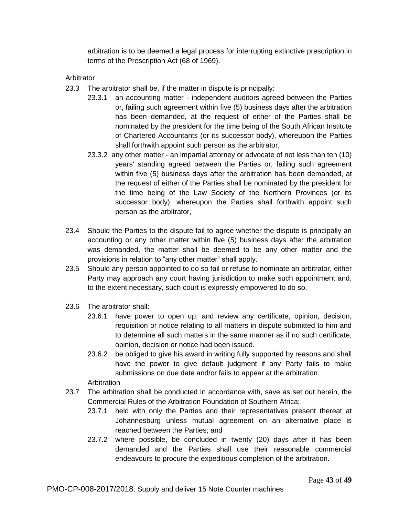arbitration is to be deemed a legal process for interrupting extinctive prescription in terms of the Prescription Act (68 of 1969).

Arbitrator

- 23.3 The arbitrator shall be, if the matter in dispute is principally:
	- 23.3.1 an accounting matter independent auditors agreed between the Parties or, failing such agreement within five (5) business days after the arbitration has been demanded, at the request of either of the Parties shall be nominated by the president for the time being of the South African Institute of Chartered Accountants (or its successor body), whereupon the Parties shall forthwith appoint such person as the arbitrator,
	- 23.3.2 any other matter an impartial attorney or advocate of not less than ten (10) years' standing agreed between the Parties or, failing such agreement within five (5) business days after the arbitration has been demanded, at the request of either of the Parties shall be nominated by the president for the time being of the Law Society of the Northern Provinces (or its successor body), whereupon the Parties shall forthwith appoint such person as the arbitrator,
- 23.4 Should the Parties to the dispute fail to agree whether the dispute is principally an accounting or any other matter within five (5) business days after the arbitration was demanded, the matter shall be deemed to be any other matter and the provisions in relation to "any other matter" shall apply.
- 23.5 Should any person appointed to do so fail or refuse to nominate an arbitrator, either Party may approach any court having jurisdiction to make such appointment and, to the extent necessary, such court is expressly empowered to do so.
- 23.6 The arbitrator shall:
	- 23.6.1 have power to open up, and review any certificate, opinion, decision, requisition or notice relating to all matters in dispute submitted to him and to determine all such matters in the same manner as if no such certificate, opinion, decision or notice had been issued.
	- 23.6.2 be obliged to give his award in writing fully supported by reasons and shall have the power to give default judgment if any Party fails to make submissions on due date and/or fails to appear at the arbitration.

Arbitration

- 23.7 The arbitration shall be conducted in accordance with, save as set out herein, the Commercial Rules of the Arbitration Foundation of Southern Africa:
	- 23.7.1 held with only the Parties and their representatives present thereat at Johannesburg unless mutual agreement on an alternative place is reached between the Parties; and
	- 23.7.2 where possible, be concluded in twenty (20) days after it has been demanded and the Parties shall use their reasonable commercial endeavours to procure the expeditious completion of the arbitration.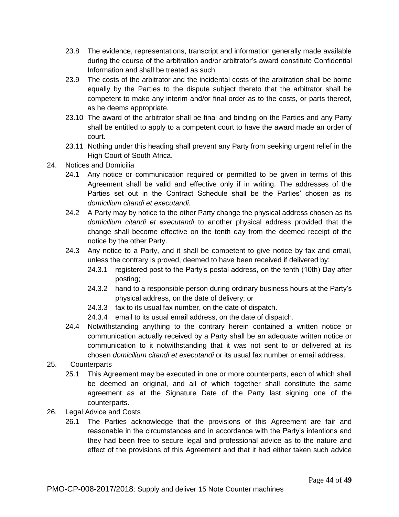- 23.8 The evidence, representations, transcript and information generally made available during the course of the arbitration and/or arbitrator's award constitute Confidential Information and shall be treated as such.
- 23.9 The costs of the arbitrator and the incidental costs of the arbitration shall be borne equally by the Parties to the dispute subject thereto that the arbitrator shall be competent to make any interim and/or final order as to the costs, or parts thereof, as he deems appropriate.
- 23.10 The award of the arbitrator shall be final and binding on the Parties and any Party shall be entitled to apply to a competent court to have the award made an order of court.
- 23.11 Nothing under this heading shall prevent any Party from seeking urgent relief in the High Court of South Africa.
- 24. Notices and Domicilia
	- 24.1 Any notice or communication required or permitted to be given in terms of this Agreement shall be valid and effective only if in writing. The addresses of the Parties set out in the Contract Schedule shall be the Parties' chosen as its *domicilium citandi et executandi.*
	- 24.2 A Party may by notice to the other Party change the physical address chosen as its *domicilium citandi et executandi* to another physical address provided that the change shall become effective on the tenth day from the deemed receipt of the notice by the other Party.
	- 24.3 Any notice to a Party, and it shall be competent to give notice by fax and email, unless the contrary is proved, deemed to have been received if delivered by:
		- 24.3.1 registered post to the Party's postal address, on the tenth (10th) Day after posting;
		- 24.3.2 hand to a responsible person during ordinary business hours at the Party's physical address, on the date of delivery; or
		- 24.3.3 fax to its usual fax number, on the date of dispatch.
		- 24.3.4 email to its usual email address, on the date of dispatch.
	- 24.4 Notwithstanding anything to the contrary herein contained a written notice or communication actually received by a Party shall be an adequate written notice or communication to it notwithstanding that it was not sent to or delivered at its chosen *domicilium citandi et executandi* or its usual fax number or email address.
- 25. Counterparts
	- 25.1 This Agreement may be executed in one or more counterparts, each of which shall be deemed an original, and all of which together shall constitute the same agreement as at the Signature Date of the Party last signing one of the counterparts.
- 26. Legal Advice and Costs
	- 26.1 The Parties acknowledge that the provisions of this Agreement are fair and reasonable in the circumstances and in accordance with the Party's intentions and they had been free to secure legal and professional advice as to the nature and effect of the provisions of this Agreement and that it had either taken such advice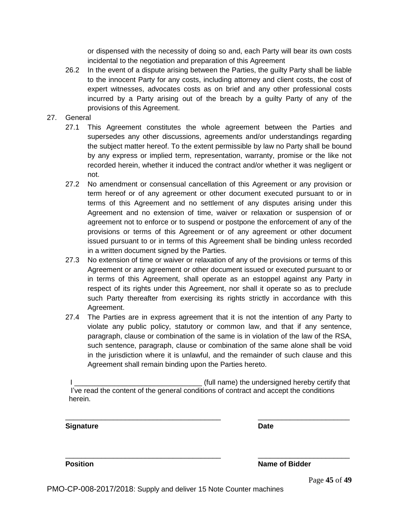or dispensed with the necessity of doing so and, each Party will bear its own costs incidental to the negotiation and preparation of this Agreement

- 26.2 In the event of a dispute arising between the Parties, the guilty Party shall be liable to the innocent Party for any costs, including attorney and client costs, the cost of expert witnesses, advocates costs as on brief and any other professional costs incurred by a Party arising out of the breach by a guilty Party of any of the provisions of this Agreement.
- 27. General
	- 27.1 This Agreement constitutes the whole agreement between the Parties and supersedes any other discussions, agreements and/or understandings regarding the subject matter hereof. To the extent permissible by law no Party shall be bound by any express or implied term, representation, warranty, promise or the like not recorded herein, whether it induced the contract and/or whether it was negligent or not.
	- 27.2 No amendment or consensual cancellation of this Agreement or any provision or term hereof or of any agreement or other document executed pursuant to or in terms of this Agreement and no settlement of any disputes arising under this Agreement and no extension of time, waiver or relaxation or suspension of or agreement not to enforce or to suspend or postpone the enforcement of any of the provisions or terms of this Agreement or of any agreement or other document issued pursuant to or in terms of this Agreement shall be binding unless recorded in a written document signed by the Parties.
	- 27.3 No extension of time or waiver or relaxation of any of the provisions or terms of this Agreement or any agreement or other document issued or executed pursuant to or in terms of this Agreement, shall operate as an estoppel against any Party in respect of its rights under this Agreement, nor shall it operate so as to preclude such Party thereafter from exercising its rights strictly in accordance with this Agreement.
	- 27.4 The Parties are in express agreement that it is not the intention of any Party to violate any public policy, statutory or common law, and that if any sentence, paragraph, clause or combination of the same is in violation of the law of the RSA, such sentence, paragraph, clause or combination of the same alone shall be void in the jurisdiction where it is unlawful, and the remainder of such clause and this Agreement shall remain binding upon the Parties hereto.

| (full name) the undersigned hereby certify that                                       |
|---------------------------------------------------------------------------------------|
| I've read the content of the general conditions of contract and accept the conditions |
| herein.                                                                               |

\_\_\_\_\_\_\_\_\_\_\_\_\_\_\_\_\_\_\_\_\_\_\_\_\_\_\_\_\_\_\_\_\_\_\_\_\_\_\_ \_\_\_\_\_\_\_\_\_\_\_\_\_\_\_\_\_\_\_\_\_\_\_

\_\_\_\_\_\_\_\_\_\_\_\_\_\_\_\_\_\_\_\_\_\_\_\_\_\_\_\_\_\_\_\_\_\_\_\_\_\_\_ \_\_\_\_\_\_\_\_\_\_\_\_\_\_\_\_\_\_\_\_\_\_\_

## **Signature Date**

**Position Name of Bidder**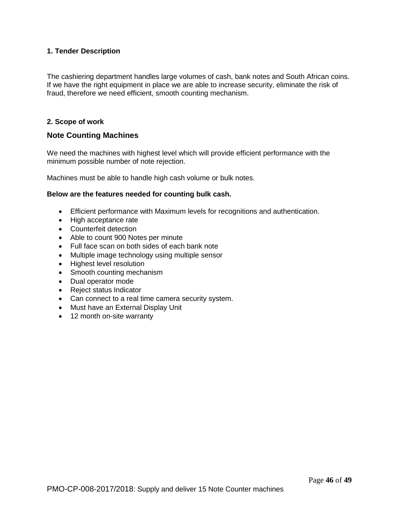### **1. Tender Description**

The cashiering department handles large volumes of cash, bank notes and South African coins. If we have the right equipment in place we are able to increase security, eliminate the risk of fraud, therefore we need efficient, smooth counting mechanism.

#### **2. Scope of work**

## **Note Counting Machines**

We need the machines with highest level which will provide efficient performance with the minimum possible number of note rejection.

Machines must be able to handle high cash volume or bulk notes.

#### **Below are the features needed for counting bulk cash.**

- Efficient performance with Maximum levels for recognitions and authentication.
- High acceptance rate
- Counterfeit detection
- Able to count 900 Notes per minute
- Full face scan on both sides of each bank note
- Multiple image technology using multiple sensor
- Highest level resolution
- Smooth counting mechanism
- Dual operator mode
- Reject status Indicator
- Can connect to a real time camera security system.
- Must have an External Display Unit
- 12 month on-site warranty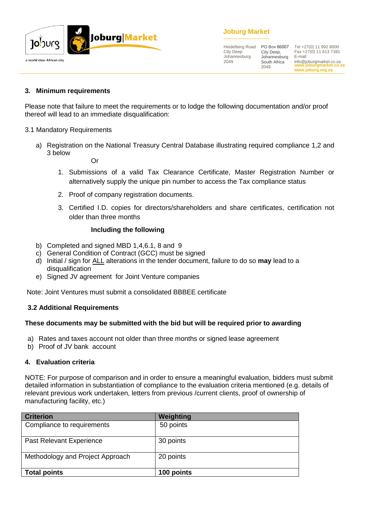

## **Joburg Market**

Heidelberg Road City Deep Johannesburg 2049

City Deep, Johannesburg South Africa 2049

**www.joburgmarket.co.za** info@joburgmarket.co.za **www.joburg.org.za** PO Box 86007 Tel +27(0) 11 992 8000 Fax +27(0) 11 613 7381 E-mail:

## **3. Minimum requirements**

Please note that failure to meet the requirements or to lodge the following documentation and/or proof thereof will lead to an immediate disqualification:

#### 3.1 Mandatory Requirements

a) Registration on the National Treasury Central Database illustrating required compliance 1,2 and 3 below

Or

- 1. Submissions of a valid Tax Clearance Certificate, Master Registration Number or alternatively supply the unique pin number to access the Tax compliance status
- 2. Proof of company registration documents.
- 3. Certified I.D. copies for directors/shareholders and share certificates, certification not older than three months

#### **Including the following**

- b) Completed and signed MBD 1,4,6.1, 8 and 9
- c) General Condition of Contract (GCC) must be signed
- d) Initial / sign for ALL alterations in the tender document, failure to do so **may** lead to a disqualification
- e) Signed JV agreement for Joint Venture companies

Note: Joint Ventures must submit a consolidated BBBEE certificate

## **3.2 Additional Requirements**

## **These documents may be submitted with the bid but will be required prior to awarding**

- a) Rates and taxes account not older than three months or signed lease agreement
- b) Proof of JV bank account

#### **4. Evaluation criteria**

NOTE: For purpose of comparison and in order to ensure a meaningful evaluation, bidders must submit detailed information in substantiation of compliance to the evaluation criteria mentioned (e.g. details of relevant previous work undertaken, letters from previous /current clients, proof of ownership of manufacturing facility, etc.)

| <b>Criterion</b>                 | Weighting  |
|----------------------------------|------------|
| Compliance to requirements       | 50 points  |
| Past Relevant Experience         | 30 points  |
| Methodology and Project Approach | 20 points  |
| <b>Total points</b>              | 100 points |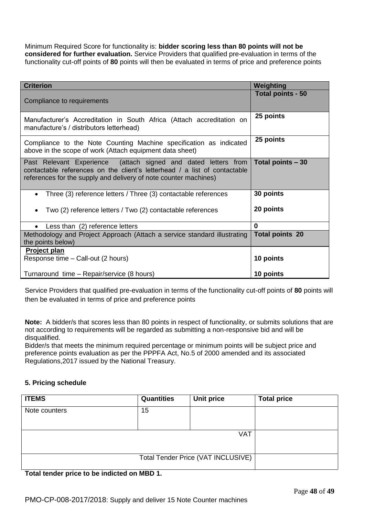Minimum Required Score for functionality is: **bidder scoring less than 80 points will not be considered for further evaluation.** Service Providers that qualified pre-evaluation in terms of the functionality cut-off points of **80** points will then be evaluated in terms of price and preference points

| <b>Criterion</b>                                                                                                                                                                                                | Weighting              |
|-----------------------------------------------------------------------------------------------------------------------------------------------------------------------------------------------------------------|------------------------|
| Compliance to requirements                                                                                                                                                                                      | Total points - 50      |
| Manufacturer's Accreditation in South Africa (Attach accreditation on<br>manufacture's / distributors letterhead)                                                                                               | 25 points              |
| Compliance to the Note Counting Machine specification as indicated<br>above in the scope of work (Attach equipment data sheet)                                                                                  | 25 points              |
| Past Relevant Experience (attach signed and dated letters from<br>contactable references on the client's letterhead / a list of contactable<br>references for the supply and delivery of note counter machines) | Total points - 30      |
| Three (3) reference letters / Three (3) contactable references<br>$\bullet$<br>Two (2) reference letters / Two (2) contactable references                                                                       | 30 points<br>20 points |
| Less than (2) reference letters<br>$\bullet$                                                                                                                                                                    | $\mathbf{0}$           |
| Methodology and Project Approach (Attach a service standard illustrating<br>the points below)                                                                                                                   | <b>Total points 20</b> |
| Project plan<br>Response time – Call-out (2 hours)                                                                                                                                                              | 10 points              |
| Turnaround time - Repair/service (8 hours)                                                                                                                                                                      | 10 points              |

Service Providers that qualified pre-evaluation in terms of the functionality cut-off points of **80** points will then be evaluated in terms of price and preference points

**Note:** A bidder/s that scores less than 80 points in respect of functionality, or submits solutions that are not according to requirements will be regarded as submitting a non-responsive bid and will be disqualified.

Bidder/s that meets the minimum required percentage or minimum points will be subject price and preference points evaluation as per the PPPFA Act, No.5 of 2000 amended and its associated Regulations,2017 issued by the National Treasury.

## **5. Pricing schedule**

| <b>ITEMS</b>                       | <b>Quantities</b> | <b>Unit price</b> | <b>Total price</b> |
|------------------------------------|-------------------|-------------------|--------------------|
| Note counters                      | 15                |                   |                    |
|                                    |                   |                   |                    |
| <b>VAT</b>                         |                   |                   |                    |
|                                    |                   |                   |                    |
| Total Tender Price (VAT INCLUSIVE) |                   |                   |                    |
|                                    |                   |                   |                    |

**Total tender price to be indicted on MBD 1.**